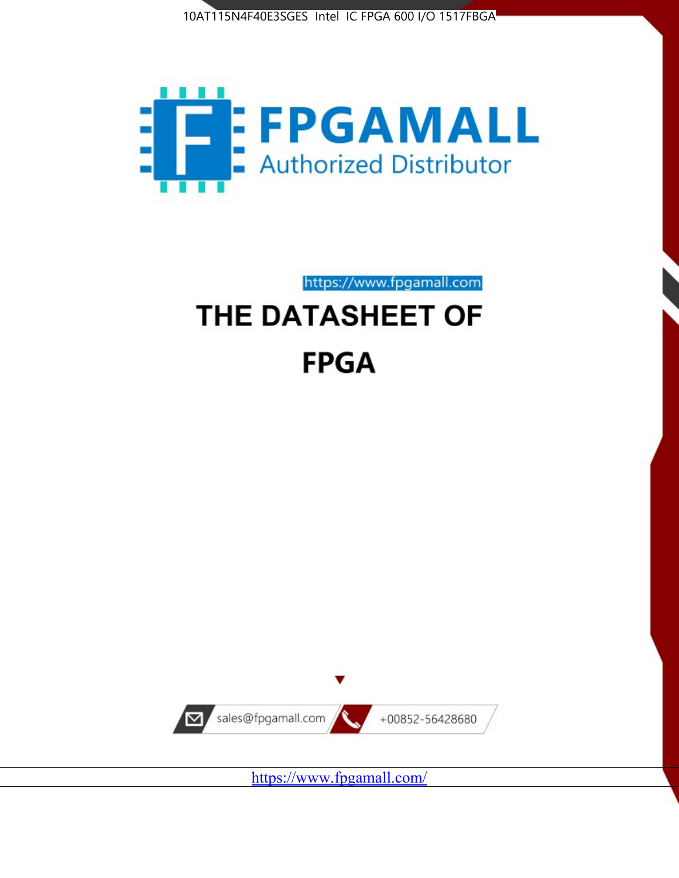



https://www.fpgamall.com

# THE DATASHEET OF **FPGA**



<https://www.fpgamall.com/>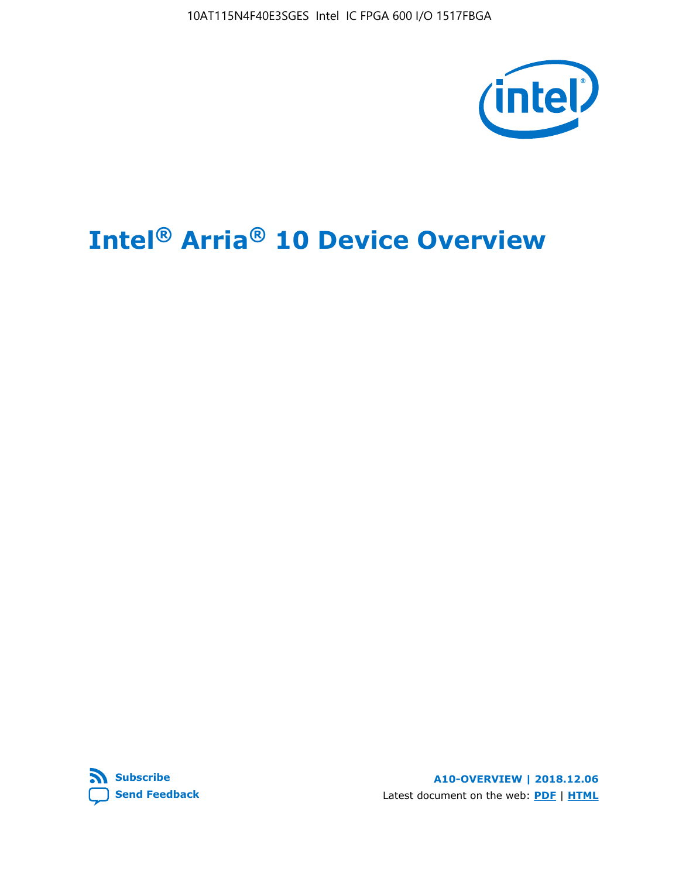10AT115N4F40E3SGES Intel IC FPGA 600 I/O 1517FBGA



# **Intel® Arria® 10 Device Overview**



**A10-OVERVIEW | 2018.12.06** Latest document on the web: **[PDF](https://www.intel.com/content/dam/www/programmable/us/en/pdfs/literature/hb/arria-10/a10_overview.pdf)** | **[HTML](https://www.intel.com/content/www/us/en/programmable/documentation/sam1403480274650.html)**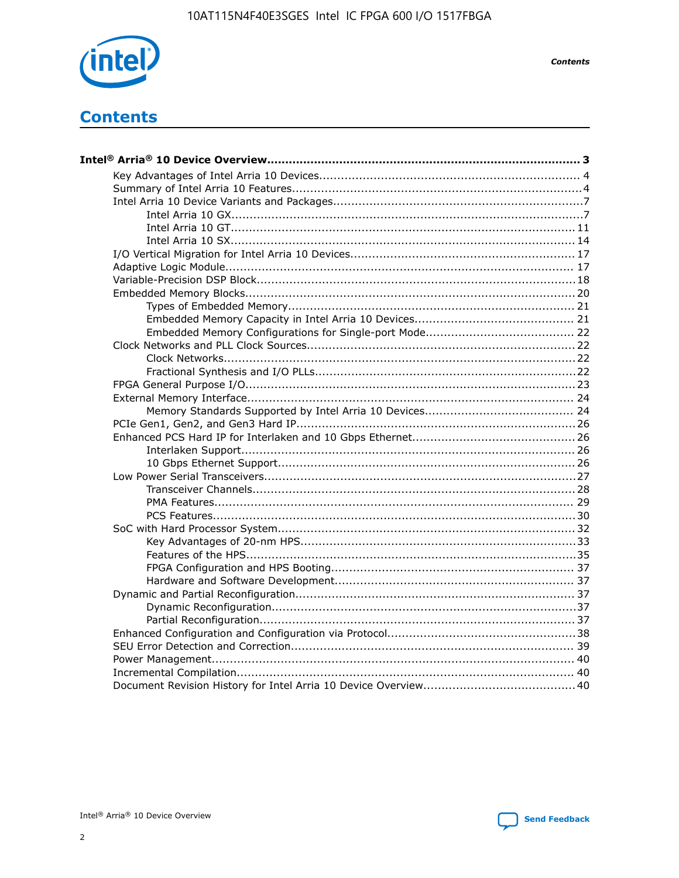

**Contents** 

# **Contents**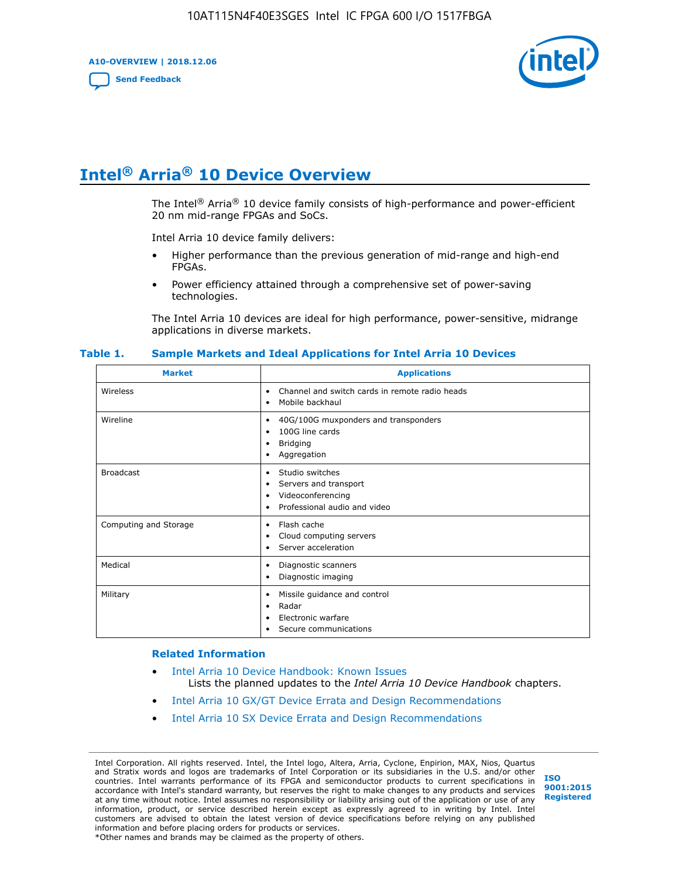**A10-OVERVIEW | 2018.12.06**

**[Send Feedback](mailto:FPGAtechdocfeedback@intel.com?subject=Feedback%20on%20Intel%20Arria%2010%20Device%20Overview%20(A10-OVERVIEW%202018.12.06)&body=We%20appreciate%20your%20feedback.%20In%20your%20comments,%20also%20specify%20the%20page%20number%20or%20paragraph.%20Thank%20you.)**



# **Intel® Arria® 10 Device Overview**

The Intel<sup>®</sup> Arria<sup>®</sup> 10 device family consists of high-performance and power-efficient 20 nm mid-range FPGAs and SoCs.

Intel Arria 10 device family delivers:

- Higher performance than the previous generation of mid-range and high-end FPGAs.
- Power efficiency attained through a comprehensive set of power-saving technologies.

The Intel Arria 10 devices are ideal for high performance, power-sensitive, midrange applications in diverse markets.

| <b>Market</b>         | <b>Applications</b>                                                                                               |
|-----------------------|-------------------------------------------------------------------------------------------------------------------|
| Wireless              | Channel and switch cards in remote radio heads<br>٠<br>Mobile backhaul<br>٠                                       |
| Wireline              | 40G/100G muxponders and transponders<br>٠<br>100G line cards<br>٠<br><b>Bridging</b><br>٠<br>Aggregation<br>٠     |
| <b>Broadcast</b>      | Studio switches<br>٠<br>Servers and transport<br>٠<br>Videoconferencing<br>٠<br>Professional audio and video<br>٠ |
| Computing and Storage | Flash cache<br>٠<br>Cloud computing servers<br>٠<br>Server acceleration<br>٠                                      |
| Medical               | Diagnostic scanners<br>٠<br>Diagnostic imaging<br>٠                                                               |
| Military              | Missile guidance and control<br>٠<br>Radar<br>٠<br>Electronic warfare<br>٠<br>Secure communications<br>٠          |

#### **Table 1. Sample Markets and Ideal Applications for Intel Arria 10 Devices**

#### **Related Information**

- [Intel Arria 10 Device Handbook: Known Issues](http://www.altera.com/support/kdb/solutions/rd07302013_646.html) Lists the planned updates to the *Intel Arria 10 Device Handbook* chapters.
- [Intel Arria 10 GX/GT Device Errata and Design Recommendations](https://www.intel.com/content/www/us/en/programmable/documentation/agz1493851706374.html#yqz1494433888646)
- [Intel Arria 10 SX Device Errata and Design Recommendations](https://www.intel.com/content/www/us/en/programmable/documentation/cru1462832385668.html#cru1462832558642)

Intel Corporation. All rights reserved. Intel, the Intel logo, Altera, Arria, Cyclone, Enpirion, MAX, Nios, Quartus and Stratix words and logos are trademarks of Intel Corporation or its subsidiaries in the U.S. and/or other countries. Intel warrants performance of its FPGA and semiconductor products to current specifications in accordance with Intel's standard warranty, but reserves the right to make changes to any products and services at any time without notice. Intel assumes no responsibility or liability arising out of the application or use of any information, product, or service described herein except as expressly agreed to in writing by Intel. Intel customers are advised to obtain the latest version of device specifications before relying on any published information and before placing orders for products or services. \*Other names and brands may be claimed as the property of others.

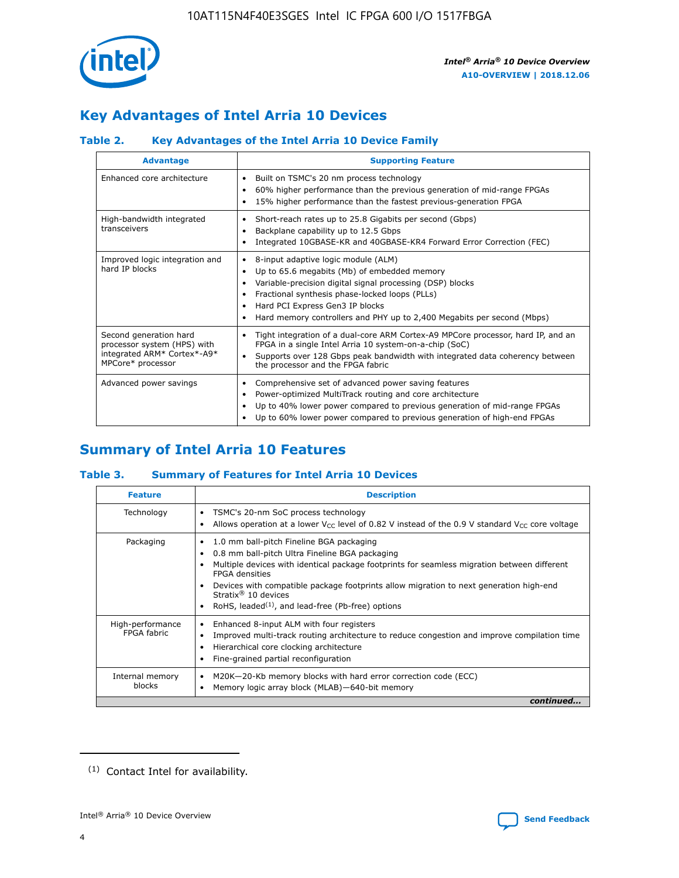

# **Key Advantages of Intel Arria 10 Devices**

## **Table 2. Key Advantages of the Intel Arria 10 Device Family**

| <b>Advantage</b>                                                                                          | <b>Supporting Feature</b>                                                                                                                                                                                                                                                                                                     |
|-----------------------------------------------------------------------------------------------------------|-------------------------------------------------------------------------------------------------------------------------------------------------------------------------------------------------------------------------------------------------------------------------------------------------------------------------------|
| Enhanced core architecture                                                                                | Built on TSMC's 20 nm process technology<br>٠<br>60% higher performance than the previous generation of mid-range FPGAs<br>٠<br>15% higher performance than the fastest previous-generation FPGA<br>٠                                                                                                                         |
| High-bandwidth integrated<br>transceivers                                                                 | Short-reach rates up to 25.8 Gigabits per second (Gbps)<br>٠<br>Backplane capability up to 12.5 Gbps<br>٠<br>Integrated 10GBASE-KR and 40GBASE-KR4 Forward Error Correction (FEC)<br>٠                                                                                                                                        |
| Improved logic integration and<br>hard IP blocks                                                          | 8-input adaptive logic module (ALM)<br>٠<br>Up to 65.6 megabits (Mb) of embedded memory<br>٠<br>Variable-precision digital signal processing (DSP) blocks<br>Fractional synthesis phase-locked loops (PLLs)<br>٠<br>Hard PCI Express Gen3 IP blocks<br>Hard memory controllers and PHY up to 2,400 Megabits per second (Mbps) |
| Second generation hard<br>processor system (HPS) with<br>integrated ARM* Cortex*-A9*<br>MPCore* processor | Tight integration of a dual-core ARM Cortex-A9 MPCore processor, hard IP, and an<br>٠<br>FPGA in a single Intel Arria 10 system-on-a-chip (SoC)<br>Supports over 128 Gbps peak bandwidth with integrated data coherency between<br>$\bullet$<br>the processor and the FPGA fabric                                             |
| Advanced power savings                                                                                    | Comprehensive set of advanced power saving features<br>٠<br>Power-optimized MultiTrack routing and core architecture<br>٠<br>Up to 40% lower power compared to previous generation of mid-range FPGAs<br>٠<br>Up to 60% lower power compared to previous generation of high-end FPGAs                                         |

# **Summary of Intel Arria 10 Features**

## **Table 3. Summary of Features for Intel Arria 10 Devices**

| <b>Feature</b>                  | <b>Description</b>                                                                                                                                                                                                                                                                                                                                                                                           |
|---------------------------------|--------------------------------------------------------------------------------------------------------------------------------------------------------------------------------------------------------------------------------------------------------------------------------------------------------------------------------------------------------------------------------------------------------------|
| Technology                      | TSMC's 20-nm SoC process technology<br>Allows operation at a lower $V_{\text{CC}}$ level of 0.82 V instead of the 0.9 V standard $V_{\text{CC}}$ core voltage                                                                                                                                                                                                                                                |
| Packaging                       | 1.0 mm ball-pitch Fineline BGA packaging<br>٠<br>0.8 mm ball-pitch Ultra Fineline BGA packaging<br>Multiple devices with identical package footprints for seamless migration between different<br><b>FPGA</b> densities<br>Devices with compatible package footprints allow migration to next generation high-end<br>Stratix <sup>®</sup> 10 devices<br>RoHS, leaded $(1)$ , and lead-free (Pb-free) options |
| High-performance<br>FPGA fabric | Enhanced 8-input ALM with four registers<br>Improved multi-track routing architecture to reduce congestion and improve compilation time<br>Hierarchical core clocking architecture<br>Fine-grained partial reconfiguration                                                                                                                                                                                   |
| Internal memory<br>blocks       | M20K-20-Kb memory blocks with hard error correction code (ECC)<br>Memory logic array block (MLAB)-640-bit memory                                                                                                                                                                                                                                                                                             |
|                                 | continued                                                                                                                                                                                                                                                                                                                                                                                                    |



<sup>(1)</sup> Contact Intel for availability.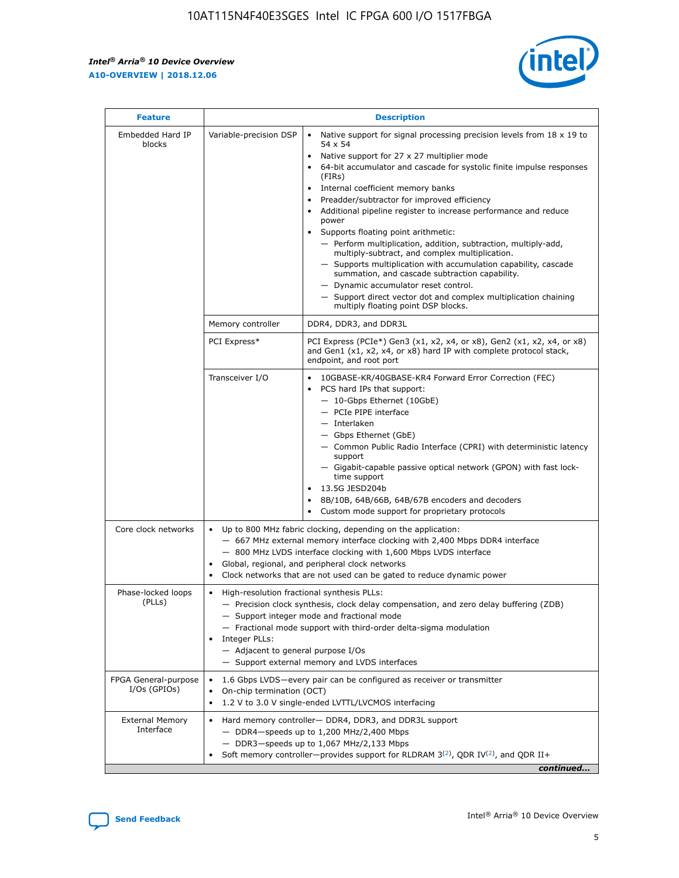$\mathsf{r}$ 



| <b>Feature</b>                         |                                                                                                                                                                                                                                                                                                                          | <b>Description</b>                                                                                                                                                                                                                                                                                                                                                                                                                                                                                                                                                                                                                                                                                                                                                                                                                     |  |  |  |  |
|----------------------------------------|--------------------------------------------------------------------------------------------------------------------------------------------------------------------------------------------------------------------------------------------------------------------------------------------------------------------------|----------------------------------------------------------------------------------------------------------------------------------------------------------------------------------------------------------------------------------------------------------------------------------------------------------------------------------------------------------------------------------------------------------------------------------------------------------------------------------------------------------------------------------------------------------------------------------------------------------------------------------------------------------------------------------------------------------------------------------------------------------------------------------------------------------------------------------------|--|--|--|--|
| Embedded Hard IP<br>blocks             | Variable-precision DSP                                                                                                                                                                                                                                                                                                   | Native support for signal processing precision levels from $18 \times 19$ to<br>54 x 54<br>Native support for 27 x 27 multiplier mode<br>64-bit accumulator and cascade for systolic finite impulse responses<br>(FIRs)<br>Internal coefficient memory banks<br>$\bullet$<br>Preadder/subtractor for improved efficiency<br>Additional pipeline register to increase performance and reduce<br>power<br>Supports floating point arithmetic:<br>- Perform multiplication, addition, subtraction, multiply-add,<br>multiply-subtract, and complex multiplication.<br>- Supports multiplication with accumulation capability, cascade<br>summation, and cascade subtraction capability.<br>- Dynamic accumulator reset control.<br>- Support direct vector dot and complex multiplication chaining<br>multiply floating point DSP blocks. |  |  |  |  |
|                                        | Memory controller                                                                                                                                                                                                                                                                                                        | DDR4, DDR3, and DDR3L                                                                                                                                                                                                                                                                                                                                                                                                                                                                                                                                                                                                                                                                                                                                                                                                                  |  |  |  |  |
|                                        | PCI Express*                                                                                                                                                                                                                                                                                                             | PCI Express (PCIe*) Gen3 (x1, x2, x4, or x8), Gen2 (x1, x2, x4, or x8)<br>and Gen1 (x1, x2, x4, or x8) hard IP with complete protocol stack,<br>endpoint, and root port                                                                                                                                                                                                                                                                                                                                                                                                                                                                                                                                                                                                                                                                |  |  |  |  |
|                                        | Transceiver I/O                                                                                                                                                                                                                                                                                                          | 10GBASE-KR/40GBASE-KR4 Forward Error Correction (FEC)<br>PCS hard IPs that support:<br>$\bullet$<br>- 10-Gbps Ethernet (10GbE)<br>- PCIe PIPE interface<br>$-$ Interlaken<br>- Gbps Ethernet (GbE)<br>- Common Public Radio Interface (CPRI) with deterministic latency<br>support<br>- Gigabit-capable passive optical network (GPON) with fast lock-<br>time support<br>13.5G JESD204b<br>$\bullet$<br>8B/10B, 64B/66B, 64B/67B encoders and decoders<br>Custom mode support for proprietary protocols                                                                                                                                                                                                                                                                                                                               |  |  |  |  |
| Core clock networks                    | $\bullet$<br>$\bullet$                                                                                                                                                                                                                                                                                                   | Up to 800 MHz fabric clocking, depending on the application:<br>- 667 MHz external memory interface clocking with 2,400 Mbps DDR4 interface<br>- 800 MHz LVDS interface clocking with 1,600 Mbps LVDS interface<br>Global, regional, and peripheral clock networks<br>Clock networks that are not used can be gated to reduce dynamic power                                                                                                                                                                                                                                                                                                                                                                                                                                                                                            |  |  |  |  |
| Phase-locked loops<br>(PLLs)           | High-resolution fractional synthesis PLLs:<br>$\bullet$<br>Integer PLLs:<br>- Adjacent to general purpose I/Os                                                                                                                                                                                                           | - Precision clock synthesis, clock delay compensation, and zero delay buffering (ZDB)<br>- Support integer mode and fractional mode<br>- Fractional mode support with third-order delta-sigma modulation<br>- Support external memory and LVDS interfaces                                                                                                                                                                                                                                                                                                                                                                                                                                                                                                                                                                              |  |  |  |  |
| FPGA General-purpose<br>$I/Os$ (GPIOs) | On-chip termination (OCT)                                                                                                                                                                                                                                                                                                | 1.6 Gbps LVDS-every pair can be configured as receiver or transmitter                                                                                                                                                                                                                                                                                                                                                                                                                                                                                                                                                                                                                                                                                                                                                                  |  |  |  |  |
| <b>External Memory</b><br>Interface    | 1.2 V to 3.0 V single-ended LVTTL/LVCMOS interfacing<br>Hard memory controller- DDR4, DDR3, and DDR3L support<br>$-$ DDR4 $-$ speeds up to 1,200 MHz/2,400 Mbps<br>- DDR3-speeds up to 1,067 MHz/2,133 Mbps<br>Soft memory controller—provides support for RLDRAM $3^{(2)}$ , QDR IV $^{(2)}$ , and QDR II+<br>continued |                                                                                                                                                                                                                                                                                                                                                                                                                                                                                                                                                                                                                                                                                                                                                                                                                                        |  |  |  |  |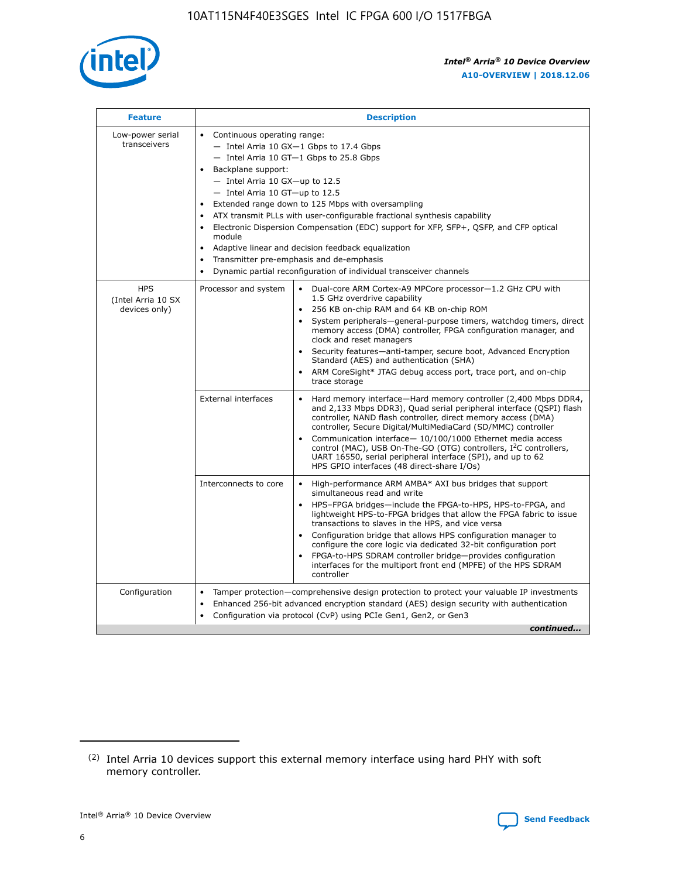

| <b>Feature</b>                                    | <b>Description</b>                                                                                                                                                                                                                                                                                                                                                                                                                                                                                                                                                                                                                         |  |  |  |  |  |  |  |
|---------------------------------------------------|--------------------------------------------------------------------------------------------------------------------------------------------------------------------------------------------------------------------------------------------------------------------------------------------------------------------------------------------------------------------------------------------------------------------------------------------------------------------------------------------------------------------------------------------------------------------------------------------------------------------------------------------|--|--|--|--|--|--|--|
| Low-power serial<br>transceivers                  | • Continuous operating range:<br>- Intel Arria 10 GX-1 Gbps to 17.4 Gbps<br>- Intel Arria 10 GT-1 Gbps to 25.8 Gbps<br>Backplane support:<br>$-$ Intel Arria 10 GX-up to 12.5<br>- Intel Arria 10 GT-up to 12.5<br>Extended range down to 125 Mbps with oversampling<br>ATX transmit PLLs with user-configurable fractional synthesis capability<br>Electronic Dispersion Compensation (EDC) support for XFP, SFP+, QSFP, and CFP optical<br>module<br>• Adaptive linear and decision feedback equalization<br>Transmitter pre-emphasis and de-emphasis<br>$\bullet$<br>Dynamic partial reconfiguration of individual transceiver channels |  |  |  |  |  |  |  |
| <b>HPS</b><br>(Intel Arria 10 SX<br>devices only) | Dual-core ARM Cortex-A9 MPCore processor-1.2 GHz CPU with<br>Processor and system<br>$\bullet$<br>1.5 GHz overdrive capability<br>256 KB on-chip RAM and 64 KB on-chip ROM<br>System peripherals-general-purpose timers, watchdog timers, direct<br>memory access (DMA) controller, FPGA configuration manager, and<br>clock and reset managers<br>Security features-anti-tamper, secure boot, Advanced Encryption<br>$\bullet$<br>Standard (AES) and authentication (SHA)<br>ARM CoreSight* JTAG debug access port, trace port, and on-chip<br>trace storage                                                                              |  |  |  |  |  |  |  |
|                                                   | <b>External interfaces</b><br>Hard memory interface-Hard memory controller (2,400 Mbps DDR4,<br>$\bullet$<br>and 2,133 Mbps DDR3), Quad serial peripheral interface (QSPI) flash<br>controller, NAND flash controller, direct memory access (DMA)<br>controller, Secure Digital/MultiMediaCard (SD/MMC) controller<br>Communication interface-10/100/1000 Ethernet media access<br>$\bullet$<br>control (MAC), USB On-The-GO (OTG) controllers, I <sup>2</sup> C controllers,<br>UART 16550, serial peripheral interface (SPI), and up to 62<br>HPS GPIO interfaces (48 direct-share I/Os)                                                 |  |  |  |  |  |  |  |
|                                                   | High-performance ARM AMBA* AXI bus bridges that support<br>Interconnects to core<br>$\bullet$<br>simultaneous read and write<br>HPS-FPGA bridges-include the FPGA-to-HPS, HPS-to-FPGA, and<br>$\bullet$<br>lightweight HPS-to-FPGA bridges that allow the FPGA fabric to issue<br>transactions to slaves in the HPS, and vice versa<br>Configuration bridge that allows HPS configuration manager to<br>configure the core logic via dedicated 32-bit configuration port<br>FPGA-to-HPS SDRAM controller bridge-provides configuration<br>interfaces for the multiport front end (MPFE) of the HPS SDRAM<br>controller                     |  |  |  |  |  |  |  |
| Configuration                                     | Tamper protection—comprehensive design protection to protect your valuable IP investments<br>Enhanced 256-bit advanced encryption standard (AES) design security with authentication<br>٠<br>Configuration via protocol (CvP) using PCIe Gen1, Gen2, or Gen3<br>continued                                                                                                                                                                                                                                                                                                                                                                  |  |  |  |  |  |  |  |

<sup>(2)</sup> Intel Arria 10 devices support this external memory interface using hard PHY with soft memory controller.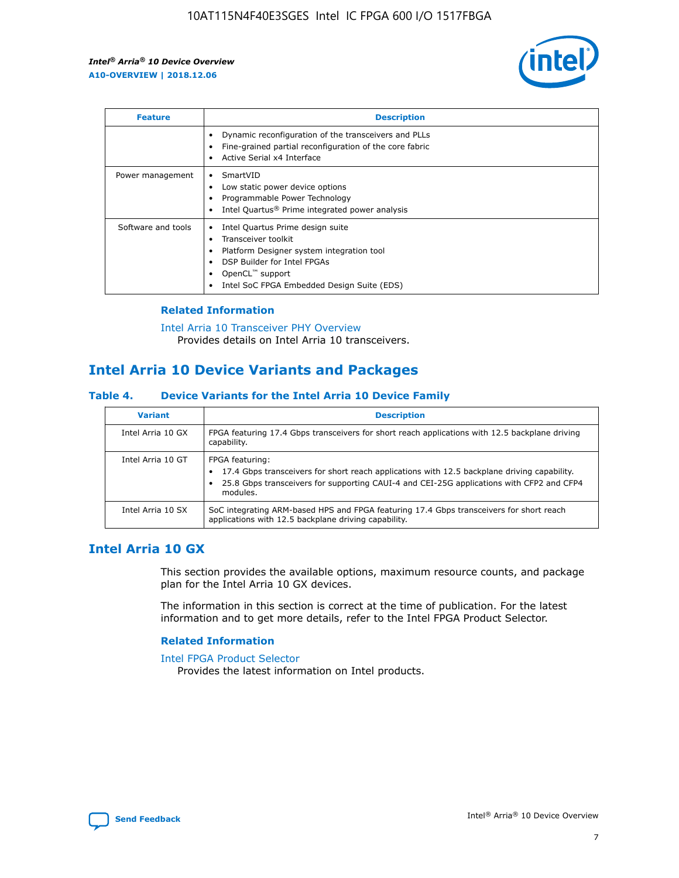

| <b>Feature</b>     | <b>Description</b>                                                                                                                                                                                               |
|--------------------|------------------------------------------------------------------------------------------------------------------------------------------------------------------------------------------------------------------|
|                    | Dynamic reconfiguration of the transceivers and PLLs<br>Fine-grained partial reconfiguration of the core fabric<br>Active Serial x4 Interface<br>$\bullet$                                                       |
| Power management   | SmartVID<br>Low static power device options<br>Programmable Power Technology<br>Intel Quartus <sup>®</sup> Prime integrated power analysis                                                                       |
| Software and tools | Intel Quartus Prime design suite<br>Transceiver toolkit<br>Platform Designer system integration tool<br>DSP Builder for Intel FPGAs<br>OpenCL <sup>™</sup> support<br>Intel SoC FPGA Embedded Design Suite (EDS) |

## **Related Information**

[Intel Arria 10 Transceiver PHY Overview](https://www.intel.com/content/www/us/en/programmable/documentation/nik1398707230472.html#nik1398706768037) Provides details on Intel Arria 10 transceivers.

## **Intel Arria 10 Device Variants and Packages**

#### **Table 4. Device Variants for the Intel Arria 10 Device Family**

| <b>Variant</b>    | <b>Description</b>                                                                                                                                                                                                     |
|-------------------|------------------------------------------------------------------------------------------------------------------------------------------------------------------------------------------------------------------------|
| Intel Arria 10 GX | FPGA featuring 17.4 Gbps transceivers for short reach applications with 12.5 backplane driving<br>capability.                                                                                                          |
| Intel Arria 10 GT | FPGA featuring:<br>17.4 Gbps transceivers for short reach applications with 12.5 backplane driving capability.<br>25.8 Gbps transceivers for supporting CAUI-4 and CEI-25G applications with CFP2 and CFP4<br>modules. |
| Intel Arria 10 SX | SoC integrating ARM-based HPS and FPGA featuring 17.4 Gbps transceivers for short reach<br>applications with 12.5 backplane driving capability.                                                                        |

## **Intel Arria 10 GX**

This section provides the available options, maximum resource counts, and package plan for the Intel Arria 10 GX devices.

The information in this section is correct at the time of publication. For the latest information and to get more details, refer to the Intel FPGA Product Selector.

#### **Related Information**

#### [Intel FPGA Product Selector](http://www.altera.com/products/selector/psg-selector.html) Provides the latest information on Intel products.

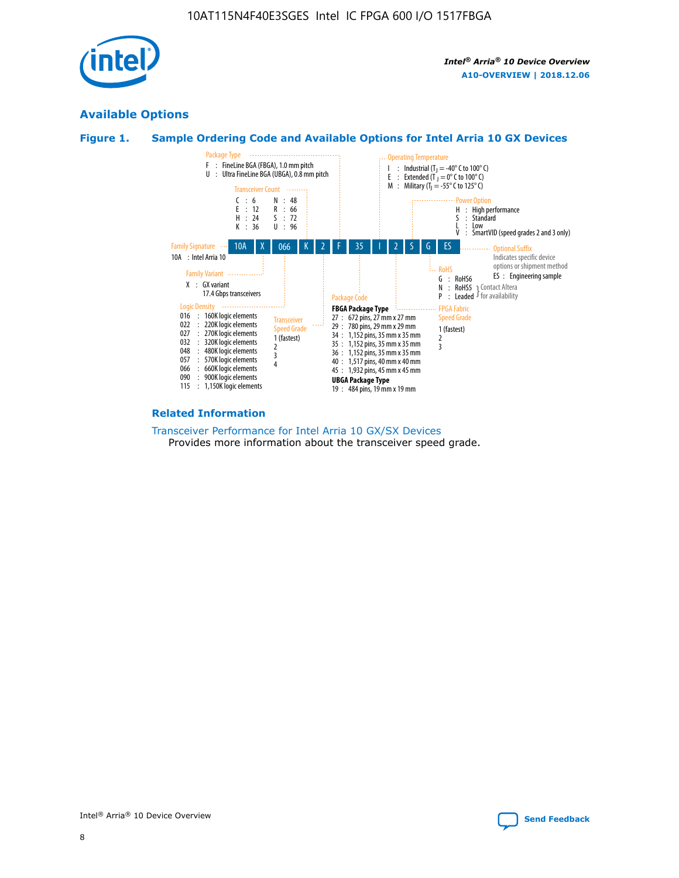

## **Available Options**





#### **Related Information**

[Transceiver Performance for Intel Arria 10 GX/SX Devices](https://www.intel.com/content/www/us/en/programmable/documentation/mcn1413182292568.html#mcn1413213965502) Provides more information about the transceiver speed grade.

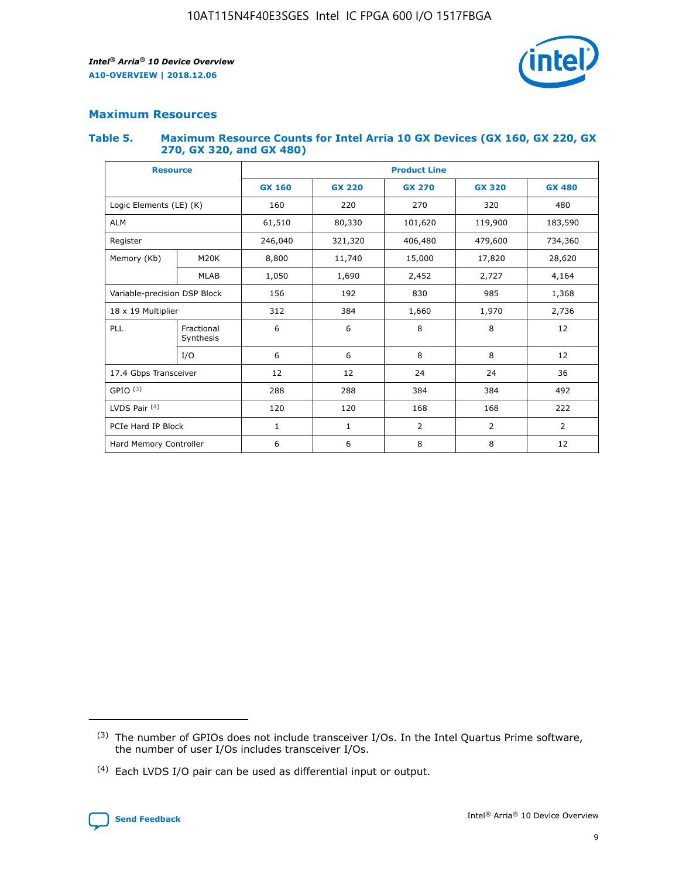

## **Maximum Resources**

#### **Table 5. Maximum Resource Counts for Intel Arria 10 GX Devices (GX 160, GX 220, GX 270, GX 320, and GX 480)**

| <b>Resource</b>              |                         | <b>Product Line</b> |                                                 |                |                |                |  |  |
|------------------------------|-------------------------|---------------------|-------------------------------------------------|----------------|----------------|----------------|--|--|
|                              |                         | <b>GX 160</b>       | <b>GX 220</b><br><b>GX 270</b><br><b>GX 320</b> |                |                | <b>GX 480</b>  |  |  |
| Logic Elements (LE) (K)      |                         | 160                 | 220                                             | 270            | 320            | 480            |  |  |
| <b>ALM</b>                   |                         | 61,510              | 80,330                                          | 101,620        | 119,900        | 183,590        |  |  |
| Register                     |                         | 246,040             | 406,480<br>479,600<br>321,320                   |                |                | 734,360        |  |  |
| Memory (Kb)                  | M <sub>20</sub> K       | 8,800               | 11,740                                          | 15,000         | 17,820         | 28,620         |  |  |
|                              | <b>MLAB</b>             | 1,050               | 1,690                                           | 2,452<br>2,727 |                | 4,164          |  |  |
| Variable-precision DSP Block |                         | 156                 | 192                                             | 830            | 985            | 1,368          |  |  |
| 18 x 19 Multiplier           |                         | 312                 | 384                                             | 1,970<br>1,660 |                | 2,736          |  |  |
| PLL                          | Fractional<br>Synthesis | 6                   | 6                                               | 8              | 8              | 12             |  |  |
|                              | I/O                     | 6                   | 6                                               | 8              | 8              | 12             |  |  |
| 17.4 Gbps Transceiver        |                         | 12                  | 12                                              | 24             | 24             | 36             |  |  |
| GPIO <sup>(3)</sup>          |                         | 288                 | 288                                             | 384            | 384            |                |  |  |
| LVDS Pair $(4)$              |                         | 120                 | 120                                             | 168            | 168            | 222            |  |  |
| PCIe Hard IP Block           |                         | 1                   | 1                                               | 2              | $\overline{2}$ | $\overline{2}$ |  |  |
| Hard Memory Controller       |                         | 6                   | 6                                               | 8              | 8              | 12             |  |  |

<sup>(4)</sup> Each LVDS I/O pair can be used as differential input or output.



<sup>(3)</sup> The number of GPIOs does not include transceiver I/Os. In the Intel Quartus Prime software, the number of user I/Os includes transceiver I/Os.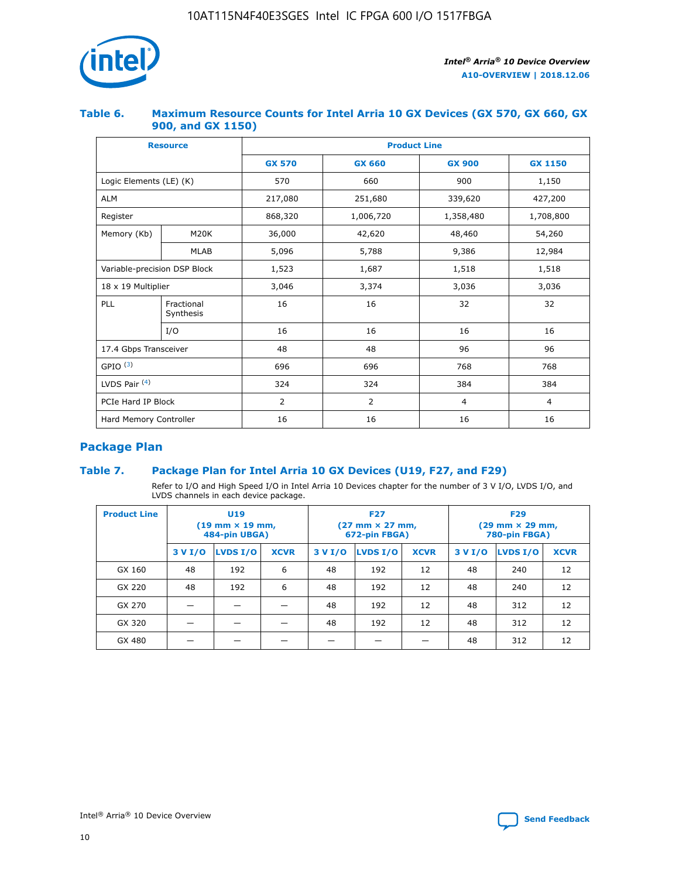

## **Table 6. Maximum Resource Counts for Intel Arria 10 GX Devices (GX 570, GX 660, GX 900, and GX 1150)**

|                              | <b>Resource</b>         |               | <b>Product Line</b>    |                |                |  |  |  |  |  |
|------------------------------|-------------------------|---------------|------------------------|----------------|----------------|--|--|--|--|--|
|                              |                         | <b>GX 570</b> | <b>GX 660</b>          | <b>GX 900</b>  | <b>GX 1150</b> |  |  |  |  |  |
| Logic Elements (LE) (K)      |                         | 570           | 660                    | 900            | 1,150          |  |  |  |  |  |
| <b>ALM</b>                   |                         | 217,080       | 251,680                | 339,620        | 427,200        |  |  |  |  |  |
| Register                     |                         | 868,320       | 1,006,720<br>1,358,480 |                | 1,708,800      |  |  |  |  |  |
| Memory (Kb)                  | <b>M20K</b>             | 36,000        | 42,620                 | 48,460         | 54,260         |  |  |  |  |  |
|                              | <b>MLAB</b>             | 5,096         | 5,788                  | 9,386          | 12,984         |  |  |  |  |  |
| Variable-precision DSP Block |                         | 1,523         | 1,687                  | 1,518          | 1,518          |  |  |  |  |  |
| $18 \times 19$ Multiplier    |                         | 3,046         | 3,374                  | 3,036          | 3,036          |  |  |  |  |  |
| PLL                          | Fractional<br>Synthesis | 16            | 16                     | 32             | 32             |  |  |  |  |  |
|                              | I/O                     | 16            | 16                     | 16             | 16             |  |  |  |  |  |
| 17.4 Gbps Transceiver        |                         | 48            | 96<br>48               |                | 96             |  |  |  |  |  |
| GPIO <sup>(3)</sup>          |                         | 696           | 696                    | 768            | 768            |  |  |  |  |  |
| LVDS Pair $(4)$              |                         | 324           | 324<br>384             |                | 384            |  |  |  |  |  |
| PCIe Hard IP Block           |                         | 2             | 2                      | $\overline{4}$ | $\overline{4}$ |  |  |  |  |  |
| Hard Memory Controller       |                         | 16            | 16                     | 16             | 16             |  |  |  |  |  |

## **Package Plan**

## **Table 7. Package Plan for Intel Arria 10 GX Devices (U19, F27, and F29)**

Refer to I/O and High Speed I/O in Intel Arria 10 Devices chapter for the number of 3 V I/O, LVDS I/O, and LVDS channels in each device package.

| <b>Product Line</b> | U <sub>19</sub><br>$(19 \text{ mm} \times 19 \text{ mm})$<br>484-pin UBGA) |          |             |         | <b>F27</b><br>(27 mm × 27 mm,<br>672-pin FBGA) |             | <b>F29</b><br>$(29 \text{ mm} \times 29 \text{ mm})$<br>780-pin FBGA) |          |             |  |
|---------------------|----------------------------------------------------------------------------|----------|-------------|---------|------------------------------------------------|-------------|-----------------------------------------------------------------------|----------|-------------|--|
|                     | 3 V I/O                                                                    | LVDS I/O | <b>XCVR</b> | 3 V I/O | <b>LVDS I/O</b>                                | <b>XCVR</b> | 3 V I/O                                                               | LVDS I/O | <b>XCVR</b> |  |
| GX 160              | 48                                                                         | 192      | 6           | 48      | 192                                            | 12          | 48                                                                    | 240      | 12          |  |
| GX 220              | 48                                                                         | 192      | 6           | 48      | 192                                            | 12          | 48                                                                    | 240      | 12          |  |
| GX 270              |                                                                            |          |             | 48      | 192                                            | 12          | 48                                                                    | 312      | 12          |  |
| GX 320              |                                                                            |          |             | 48      | 192                                            | 12          | 48                                                                    | 312      | 12          |  |
| GX 480              |                                                                            |          |             |         |                                                |             | 48                                                                    | 312      | 12          |  |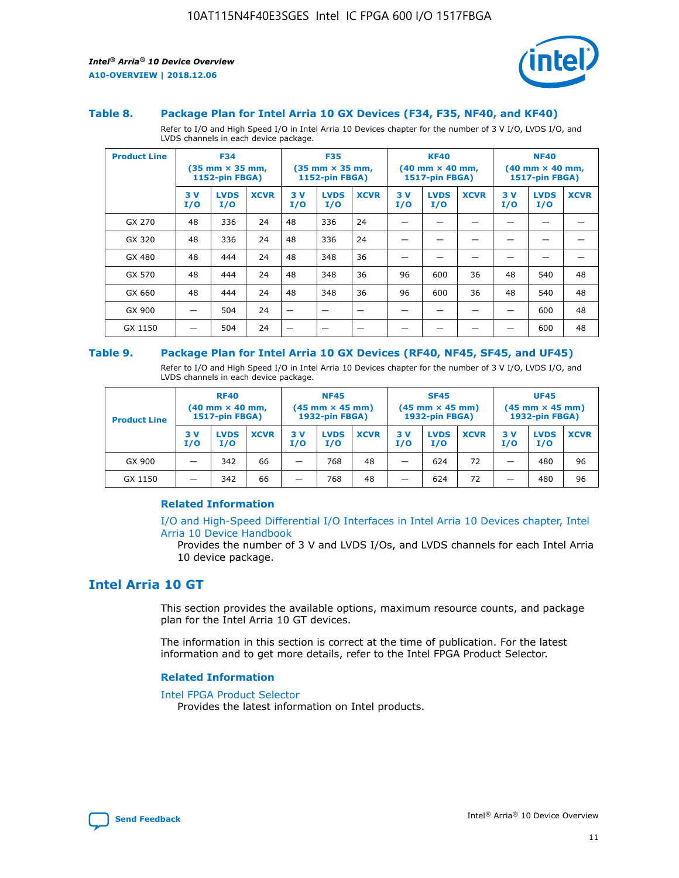

#### **Table 8. Package Plan for Intel Arria 10 GX Devices (F34, F35, NF40, and KF40)**

Refer to I/O and High Speed I/O in Intel Arria 10 Devices chapter for the number of 3 V I/O, LVDS I/O, and LVDS channels in each device package.

| <b>Product Line</b> | <b>F34</b><br>$(35 \text{ mm} \times 35 \text{ mm})$<br><b>1152-pin FBGA)</b> |                    | <b>F35</b><br>$(35 \text{ mm} \times 35 \text{ mm})$<br><b>1152-pin FBGA)</b> |           | <b>KF40</b><br>$(40$ mm $\times$ 40 mm,<br>1517-pin FBGA) |             |           | <b>NF40</b><br>$(40 \text{ mm} \times 40 \text{ mm})$<br>1517-pin FBGA) |             |           |                    |             |
|---------------------|-------------------------------------------------------------------------------|--------------------|-------------------------------------------------------------------------------|-----------|-----------------------------------------------------------|-------------|-----------|-------------------------------------------------------------------------|-------------|-----------|--------------------|-------------|
|                     | 3V<br>I/O                                                                     | <b>LVDS</b><br>I/O | <b>XCVR</b>                                                                   | 3V<br>I/O | <b>LVDS</b><br>I/O                                        | <b>XCVR</b> | 3V<br>I/O | <b>LVDS</b><br>I/O                                                      | <b>XCVR</b> | 3V<br>I/O | <b>LVDS</b><br>I/O | <b>XCVR</b> |
| GX 270              | 48                                                                            | 336                | 24                                                                            | 48        | 336                                                       | 24          |           |                                                                         |             |           |                    |             |
| GX 320              | 48                                                                            | 336                | 24                                                                            | 48        | 336                                                       | 24          |           |                                                                         |             |           |                    |             |
| GX 480              | 48                                                                            | 444                | 24                                                                            | 48        | 348                                                       | 36          |           |                                                                         |             |           |                    |             |
| GX 570              | 48                                                                            | 444                | 24                                                                            | 48        | 348                                                       | 36          | 96        | 600                                                                     | 36          | 48        | 540                | 48          |
| GX 660              | 48                                                                            | 444                | 24                                                                            | 48        | 348                                                       | 36          | 96        | 600                                                                     | 36          | 48        | 540                | 48          |
| GX 900              |                                                                               | 504                | 24                                                                            | –         |                                                           | -           |           |                                                                         |             |           | 600                | 48          |
| GX 1150             |                                                                               | 504                | 24                                                                            |           |                                                           |             |           |                                                                         |             |           | 600                | 48          |

#### **Table 9. Package Plan for Intel Arria 10 GX Devices (RF40, NF45, SF45, and UF45)**

Refer to I/O and High Speed I/O in Intel Arria 10 Devices chapter for the number of 3 V I/O, LVDS I/O, and LVDS channels in each device package.

| <b>Product Line</b> | <b>RF40</b><br>$(40$ mm $\times$ 40 mm,<br>1517-pin FBGA) |                    |             | <b>NF45</b><br>$(45 \text{ mm} \times 45 \text{ mm})$<br><b>1932-pin FBGA)</b> |                    |             | <b>SF45</b><br>$(45 \text{ mm} \times 45 \text{ mm})$<br><b>1932-pin FBGA)</b> |                    |             | <b>UF45</b><br>$(45 \text{ mm} \times 45 \text{ mm})$<br><b>1932-pin FBGA)</b> |                    |             |
|---------------------|-----------------------------------------------------------|--------------------|-------------|--------------------------------------------------------------------------------|--------------------|-------------|--------------------------------------------------------------------------------|--------------------|-------------|--------------------------------------------------------------------------------|--------------------|-------------|
|                     | 3V<br>I/O                                                 | <b>LVDS</b><br>I/O | <b>XCVR</b> | 3 V<br>I/O                                                                     | <b>LVDS</b><br>I/O | <b>XCVR</b> | 3 V<br>I/O                                                                     | <b>LVDS</b><br>I/O | <b>XCVR</b> | 3V<br>I/O                                                                      | <b>LVDS</b><br>I/O | <b>XCVR</b> |
| GX 900              |                                                           | 342                | 66          | _                                                                              | 768                | 48          |                                                                                | 624                | 72          |                                                                                | 480                | 96          |
| GX 1150             |                                                           | 342                | 66          | _                                                                              | 768                | 48          |                                                                                | 624                | 72          |                                                                                | 480                | 96          |

### **Related Information**

[I/O and High-Speed Differential I/O Interfaces in Intel Arria 10 Devices chapter, Intel](https://www.intel.com/content/www/us/en/programmable/documentation/sam1403482614086.html#sam1403482030321) [Arria 10 Device Handbook](https://www.intel.com/content/www/us/en/programmable/documentation/sam1403482614086.html#sam1403482030321)

Provides the number of 3 V and LVDS I/Os, and LVDS channels for each Intel Arria 10 device package.

## **Intel Arria 10 GT**

This section provides the available options, maximum resource counts, and package plan for the Intel Arria 10 GT devices.

The information in this section is correct at the time of publication. For the latest information and to get more details, refer to the Intel FPGA Product Selector.

#### **Related Information**

#### [Intel FPGA Product Selector](http://www.altera.com/products/selector/psg-selector.html)

Provides the latest information on Intel products.

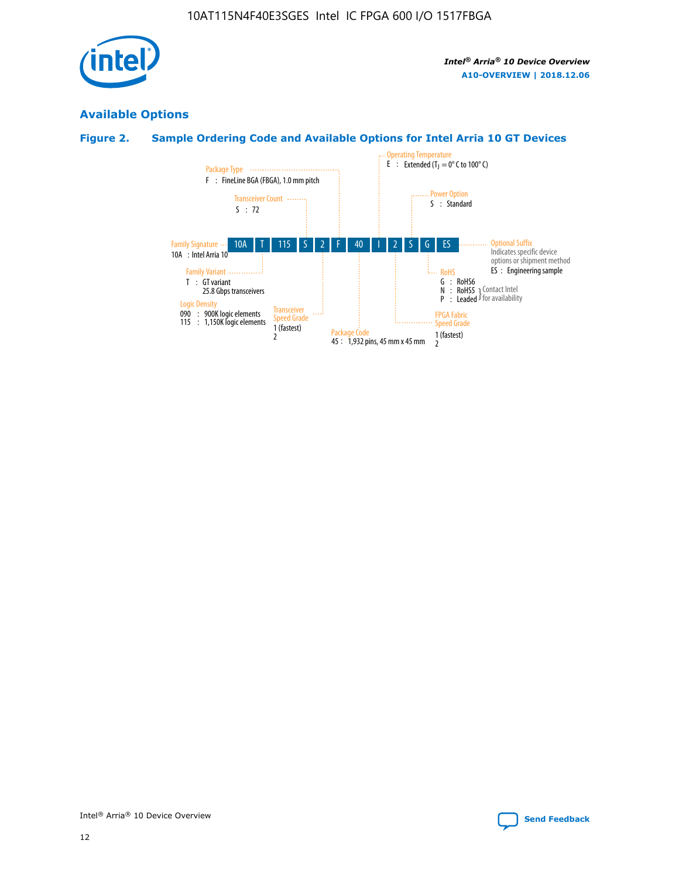

## **Available Options**

## **Figure 2. Sample Ordering Code and Available Options for Intel Arria 10 GT Devices**

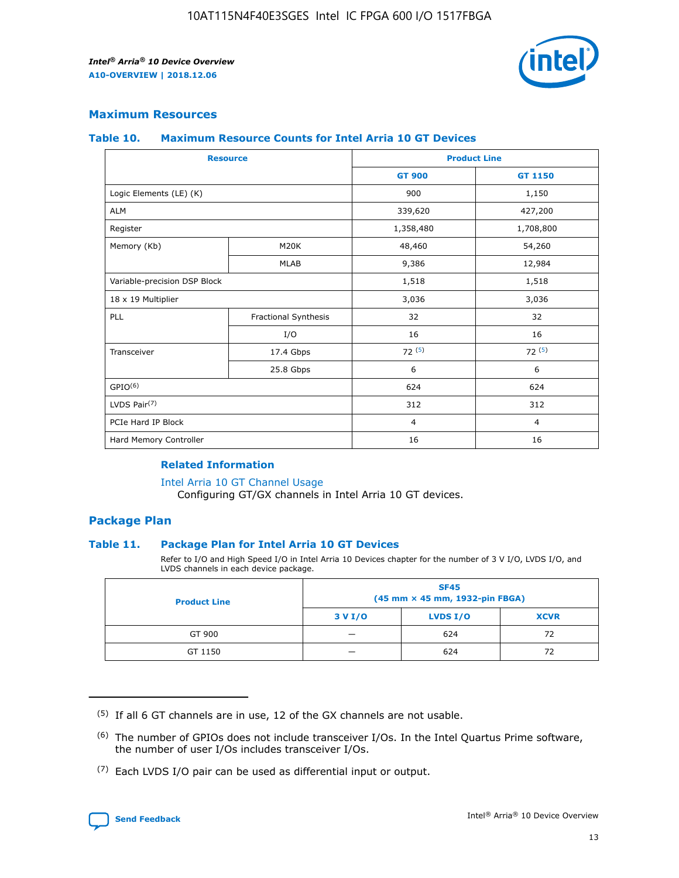

## **Maximum Resources**

#### **Table 10. Maximum Resource Counts for Intel Arria 10 GT Devices**

| <b>Resource</b>              |                      |                | <b>Product Line</b> |  |
|------------------------------|----------------------|----------------|---------------------|--|
|                              |                      | <b>GT 900</b>  | <b>GT 1150</b>      |  |
| Logic Elements (LE) (K)      |                      | 900            | 1,150               |  |
| <b>ALM</b>                   |                      | 339,620        | 427,200             |  |
| Register                     |                      | 1,358,480      | 1,708,800           |  |
| Memory (Kb)                  | M <sub>20</sub> K    | 48,460         | 54,260              |  |
|                              | <b>MLAB</b>          | 9,386          | 12,984              |  |
| Variable-precision DSP Block |                      | 1,518          | 1,518               |  |
| 18 x 19 Multiplier           |                      | 3,036          | 3,036               |  |
| PLL                          | Fractional Synthesis | 32             | 32                  |  |
|                              | I/O                  | 16             | 16                  |  |
| Transceiver                  | 17.4 Gbps            | 72(5)          | 72(5)               |  |
|                              | 25.8 Gbps            | 6              | 6                   |  |
| GPIO <sup>(6)</sup>          |                      | 624            | 624                 |  |
| LVDS Pair $(7)$              |                      | 312            | 312                 |  |
| PCIe Hard IP Block           |                      | $\overline{4}$ | $\overline{4}$      |  |
| Hard Memory Controller       |                      | 16             | 16                  |  |

#### **Related Information**

#### [Intel Arria 10 GT Channel Usage](https://www.intel.com/content/www/us/en/programmable/documentation/nik1398707230472.html#nik1398707008178)

Configuring GT/GX channels in Intel Arria 10 GT devices.

## **Package Plan**

### **Table 11. Package Plan for Intel Arria 10 GT Devices**

Refer to I/O and High Speed I/O in Intel Arria 10 Devices chapter for the number of 3 V I/O, LVDS I/O, and LVDS channels in each device package.

| <b>Product Line</b> | <b>SF45</b><br>(45 mm × 45 mm, 1932-pin FBGA) |                 |             |  |  |  |
|---------------------|-----------------------------------------------|-----------------|-------------|--|--|--|
|                     | 3 V I/O                                       | <b>LVDS I/O</b> | <b>XCVR</b> |  |  |  |
| GT 900              |                                               | 624             | 72          |  |  |  |
| GT 1150             |                                               | 624             | 72          |  |  |  |

<sup>(7)</sup> Each LVDS I/O pair can be used as differential input or output.



 $(5)$  If all 6 GT channels are in use, 12 of the GX channels are not usable.

<sup>(6)</sup> The number of GPIOs does not include transceiver I/Os. In the Intel Quartus Prime software, the number of user I/Os includes transceiver I/Os.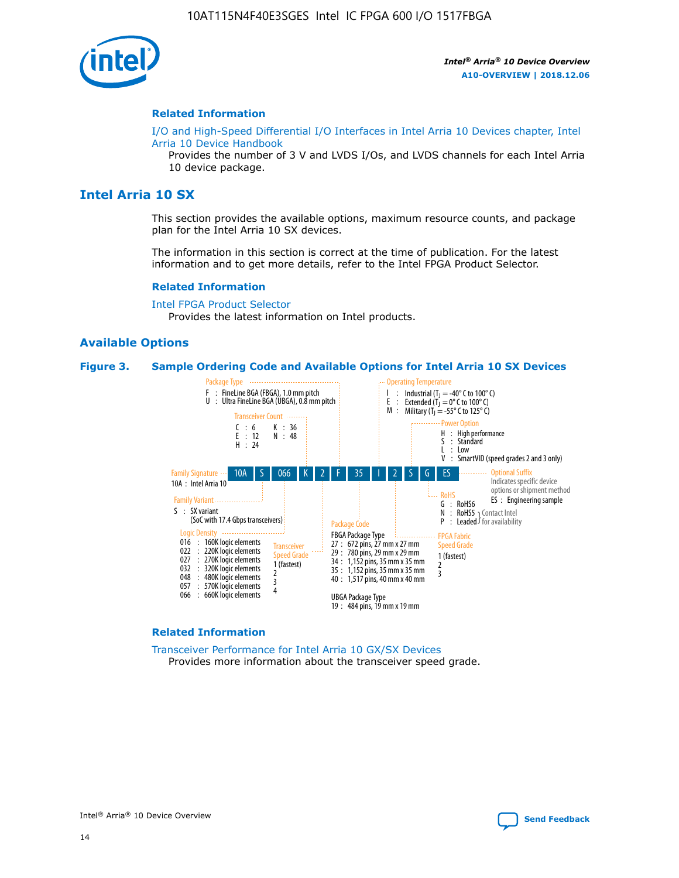

#### **Related Information**

[I/O and High-Speed Differential I/O Interfaces in Intel Arria 10 Devices chapter, Intel](https://www.intel.com/content/www/us/en/programmable/documentation/sam1403482614086.html#sam1403482030321) [Arria 10 Device Handbook](https://www.intel.com/content/www/us/en/programmable/documentation/sam1403482614086.html#sam1403482030321)

Provides the number of 3 V and LVDS I/Os, and LVDS channels for each Intel Arria 10 device package.

## **Intel Arria 10 SX**

This section provides the available options, maximum resource counts, and package plan for the Intel Arria 10 SX devices.

The information in this section is correct at the time of publication. For the latest information and to get more details, refer to the Intel FPGA Product Selector.

#### **Related Information**

[Intel FPGA Product Selector](http://www.altera.com/products/selector/psg-selector.html) Provides the latest information on Intel products.

## **Available Options**

#### **Figure 3. Sample Ordering Code and Available Options for Intel Arria 10 SX Devices**



#### **Related Information**

[Transceiver Performance for Intel Arria 10 GX/SX Devices](https://www.intel.com/content/www/us/en/programmable/documentation/mcn1413182292568.html#mcn1413213965502) Provides more information about the transceiver speed grade.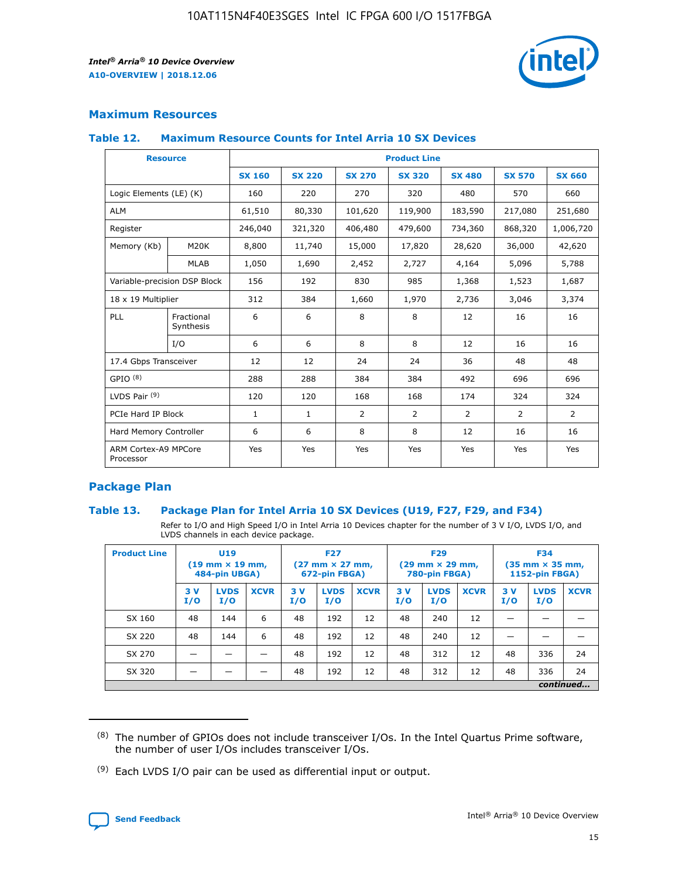

## **Maximum Resources**

#### **Table 12. Maximum Resource Counts for Intel Arria 10 SX Devices**

|                                   | <b>Resource</b>         | <b>Product Line</b> |               |                |                |                |                |                |  |  |  |
|-----------------------------------|-------------------------|---------------------|---------------|----------------|----------------|----------------|----------------|----------------|--|--|--|
|                                   |                         | <b>SX 160</b>       | <b>SX 220</b> | <b>SX 270</b>  | <b>SX 320</b>  | <b>SX 480</b>  | <b>SX 570</b>  | <b>SX 660</b>  |  |  |  |
| Logic Elements (LE) (K)           |                         | 160                 | 220           | 270            | 320            | 480            | 570            | 660            |  |  |  |
| <b>ALM</b>                        |                         | 61,510              | 80,330        | 101,620        | 119,900        | 183,590        | 217,080        | 251,680        |  |  |  |
| Register                          |                         | 246,040             | 321,320       | 406,480        | 479,600        | 734,360        | 868,320        | 1,006,720      |  |  |  |
| Memory (Kb)                       | M <sub>20</sub> K       | 8,800               | 11,740        | 15,000         | 17,820         | 28,620         | 36,000         | 42,620         |  |  |  |
|                                   | <b>MLAB</b>             | 1,050               | 1,690         | 2,452          | 2,727          | 4,164          | 5,096          | 5,788          |  |  |  |
| Variable-precision DSP Block      |                         | 156                 | 192           | 830            | 985            | 1,368          | 1,523          | 1,687          |  |  |  |
| 18 x 19 Multiplier                |                         | 312                 | 384           | 1,660          | 1,970          | 2,736          | 3,046          | 3,374          |  |  |  |
| <b>PLL</b>                        | Fractional<br>Synthesis | 6                   | 6             | 8              | 8              | 12             | 16             | 16             |  |  |  |
|                                   | I/O                     | 6                   | 6             | 8              | 8              | 12             | 16             | 16             |  |  |  |
| 17.4 Gbps Transceiver             |                         | 12                  | 12            | 24             | 24             | 36             | 48             | 48             |  |  |  |
| GPIO <sup>(8)</sup>               |                         | 288                 | 288           | 384            | 384            | 492            | 696            | 696            |  |  |  |
| LVDS Pair $(9)$                   |                         | 120                 | 120           | 168            | 168            | 174            | 324            | 324            |  |  |  |
| PCIe Hard IP Block                |                         | $\mathbf{1}$        | $\mathbf{1}$  | $\overline{2}$ | $\overline{2}$ | $\overline{2}$ | $\overline{2}$ | $\overline{2}$ |  |  |  |
| Hard Memory Controller            |                         | 6                   | 6             | 8              | 8              | 12             | 16             | 16             |  |  |  |
| ARM Cortex-A9 MPCore<br>Processor |                         | Yes                 | Yes           | Yes            | Yes            | Yes            | Yes            | Yes            |  |  |  |

## **Package Plan**

### **Table 13. Package Plan for Intel Arria 10 SX Devices (U19, F27, F29, and F34)**

Refer to I/O and High Speed I/O in Intel Arria 10 Devices chapter for the number of 3 V I/O, LVDS I/O, and LVDS channels in each device package.

| <b>Product Line</b> | <b>U19</b><br>$(19 \text{ mm} \times 19 \text{ mm})$<br>484-pin UBGA) |                    |             | <b>F27</b><br>$(27 \text{ mm} \times 27 \text{ mm})$<br>672-pin FBGA) |                    | <b>F29</b><br>$(29 \text{ mm} \times 29 \text{ mm})$<br>780-pin FBGA) |           |                    | <b>F34</b><br>$(35 \text{ mm} \times 35 \text{ mm})$<br><b>1152-pin FBGA)</b> |           |                    |             |
|---------------------|-----------------------------------------------------------------------|--------------------|-------------|-----------------------------------------------------------------------|--------------------|-----------------------------------------------------------------------|-----------|--------------------|-------------------------------------------------------------------------------|-----------|--------------------|-------------|
|                     | 3V<br>I/O                                                             | <b>LVDS</b><br>I/O | <b>XCVR</b> | 3V<br>I/O                                                             | <b>LVDS</b><br>I/O | <b>XCVR</b>                                                           | 3V<br>I/O | <b>LVDS</b><br>I/O | <b>XCVR</b>                                                                   | 3V<br>I/O | <b>LVDS</b><br>I/O | <b>XCVR</b> |
| SX 160              | 48                                                                    | 144                | 6           | 48                                                                    | 192                | 12                                                                    | 48        | 240                | 12                                                                            | -         |                    |             |
| SX 220              | 48                                                                    | 144                | 6           | 48                                                                    | 192                | 12                                                                    | 48        | 240                | 12                                                                            |           |                    |             |
| SX 270              |                                                                       |                    |             | 48                                                                    | 192                | 12                                                                    | 48        | 312                | 12                                                                            | 48        | 336                | 24          |
| SX 320              |                                                                       |                    |             | 48                                                                    | 192                | 12                                                                    | 48        | 312                | 12                                                                            | 48        | 336                | 24          |
|                     | continued                                                             |                    |             |                                                                       |                    |                                                                       |           |                    |                                                                               |           |                    |             |

 $(8)$  The number of GPIOs does not include transceiver I/Os. In the Intel Quartus Prime software, the number of user I/Os includes transceiver I/Os.

 $(9)$  Each LVDS I/O pair can be used as differential input or output.

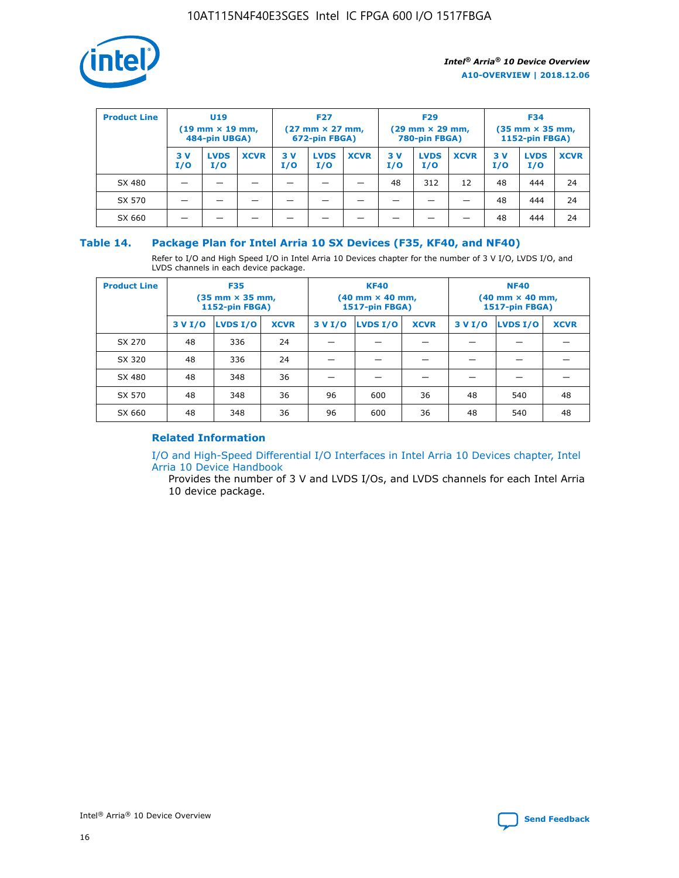

| <b>Product Line</b> | U <sub>19</sub><br>$(19 \text{ mm} \times 19 \text{ mm})$<br>484-pin UBGA) |                    | <b>F27</b><br>$(27 \text{ mm} \times 27 \text{ mm})$<br>672-pin FBGA) |           | <b>F29</b><br>$(29 \text{ mm} \times 29 \text{ mm})$<br>780-pin FBGA) |             |           | <b>F34</b><br>$(35$ mm $\times$ 35 mm,<br><b>1152-pin FBGA)</b> |             |           |                    |             |
|---------------------|----------------------------------------------------------------------------|--------------------|-----------------------------------------------------------------------|-----------|-----------------------------------------------------------------------|-------------|-----------|-----------------------------------------------------------------|-------------|-----------|--------------------|-------------|
|                     | 3V<br>I/O                                                                  | <b>LVDS</b><br>I/O | <b>XCVR</b>                                                           | 3V<br>I/O | <b>LVDS</b><br>I/O                                                    | <b>XCVR</b> | 3V<br>I/O | <b>LVDS</b><br>I/O                                              | <b>XCVR</b> | 3V<br>I/O | <b>LVDS</b><br>I/O | <b>XCVR</b> |
| SX 480              |                                                                            |                    |                                                                       |           |                                                                       |             | 48        | 312                                                             | 12          | 48        | 444                | 24          |
| SX 570              |                                                                            |                    |                                                                       |           |                                                                       |             |           |                                                                 |             | 48        | 444                | 24          |
| SX 660              |                                                                            |                    |                                                                       |           |                                                                       |             |           |                                                                 |             | 48        | 444                | 24          |

## **Table 14. Package Plan for Intel Arria 10 SX Devices (F35, KF40, and NF40)**

Refer to I/O and High Speed I/O in Intel Arria 10 Devices chapter for the number of 3 V I/O, LVDS I/O, and LVDS channels in each device package.

| <b>Product Line</b> | <b>F35</b><br>$(35 \text{ mm} \times 35 \text{ mm})$<br><b>1152-pin FBGA)</b> |          |             |                                           | <b>KF40</b><br>(40 mm × 40 mm,<br>1517-pin FBGA) |    | <b>NF40</b><br>$(40 \text{ mm} \times 40 \text{ mm})$<br>1517-pin FBGA) |          |             |  |
|---------------------|-------------------------------------------------------------------------------|----------|-------------|-------------------------------------------|--------------------------------------------------|----|-------------------------------------------------------------------------|----------|-------------|--|
|                     | 3 V I/O                                                                       | LVDS I/O | <b>XCVR</b> | <b>LVDS I/O</b><br><b>XCVR</b><br>3 V I/O |                                                  |    | 3 V I/O                                                                 | LVDS I/O | <b>XCVR</b> |  |
| SX 270              | 48                                                                            | 336      | 24          |                                           |                                                  |    |                                                                         |          |             |  |
| SX 320              | 48                                                                            | 336      | 24          |                                           |                                                  |    |                                                                         |          |             |  |
| SX 480              | 48                                                                            | 348      | 36          |                                           |                                                  |    |                                                                         |          |             |  |
| SX 570              | 48                                                                            | 348      | 36          | 96                                        | 600                                              | 36 | 48                                                                      | 540      | 48          |  |
| SX 660              | 48                                                                            | 348      | 36          | 96                                        | 600                                              | 36 | 48                                                                      | 540      | 48          |  |

## **Related Information**

[I/O and High-Speed Differential I/O Interfaces in Intel Arria 10 Devices chapter, Intel](https://www.intel.com/content/www/us/en/programmable/documentation/sam1403482614086.html#sam1403482030321) [Arria 10 Device Handbook](https://www.intel.com/content/www/us/en/programmable/documentation/sam1403482614086.html#sam1403482030321)

Provides the number of 3 V and LVDS I/Os, and LVDS channels for each Intel Arria 10 device package.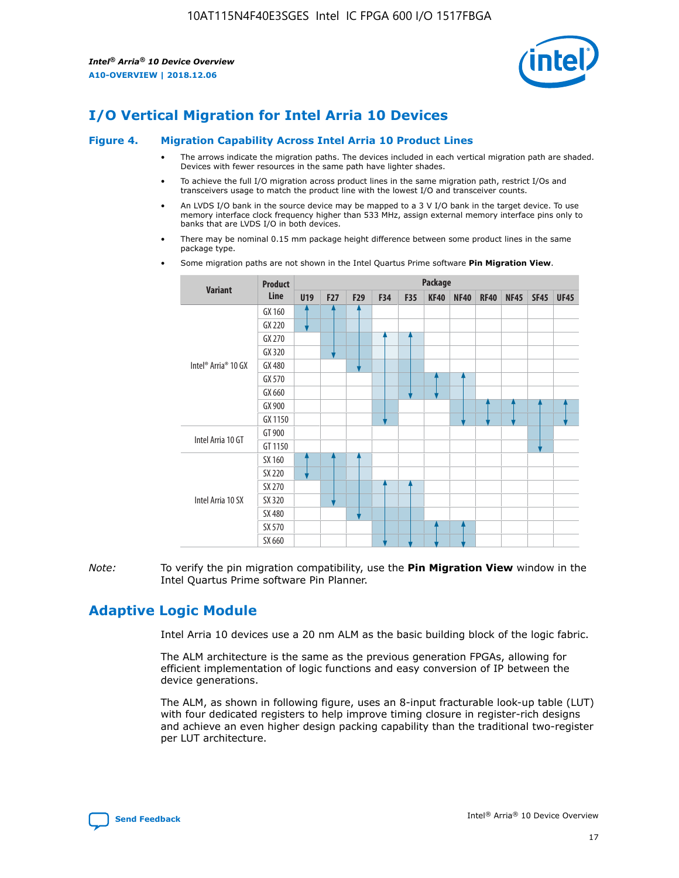

# **I/O Vertical Migration for Intel Arria 10 Devices**

#### **Figure 4. Migration Capability Across Intel Arria 10 Product Lines**

- The arrows indicate the migration paths. The devices included in each vertical migration path are shaded. Devices with fewer resources in the same path have lighter shades.
- To achieve the full I/O migration across product lines in the same migration path, restrict I/Os and transceivers usage to match the product line with the lowest I/O and transceiver counts.
- An LVDS I/O bank in the source device may be mapped to a 3 V I/O bank in the target device. To use memory interface clock frequency higher than 533 MHz, assign external memory interface pins only to banks that are LVDS I/O in both devices.
- There may be nominal 0.15 mm package height difference between some product lines in the same package type.
	- **Variant Product Line Package U19 F27 F29 F34 F35 KF40 NF40 RF40 NF45 SF45 UF45** Intel® Arria® 10 GX GX 160 GX 220 GX 270 GX 320 GX 480 GX 570 GX 660 GX 900 GX 1150 Intel Arria 10 GT GT 900 GT 1150 Intel Arria 10 SX SX 160 SX 220 SX 270 SX 320 SX 480 SX 570 SX 660
- Some migration paths are not shown in the Intel Quartus Prime software **Pin Migration View**.

*Note:* To verify the pin migration compatibility, use the **Pin Migration View** window in the Intel Quartus Prime software Pin Planner.

# **Adaptive Logic Module**

Intel Arria 10 devices use a 20 nm ALM as the basic building block of the logic fabric.

The ALM architecture is the same as the previous generation FPGAs, allowing for efficient implementation of logic functions and easy conversion of IP between the device generations.

The ALM, as shown in following figure, uses an 8-input fracturable look-up table (LUT) with four dedicated registers to help improve timing closure in register-rich designs and achieve an even higher design packing capability than the traditional two-register per LUT architecture.

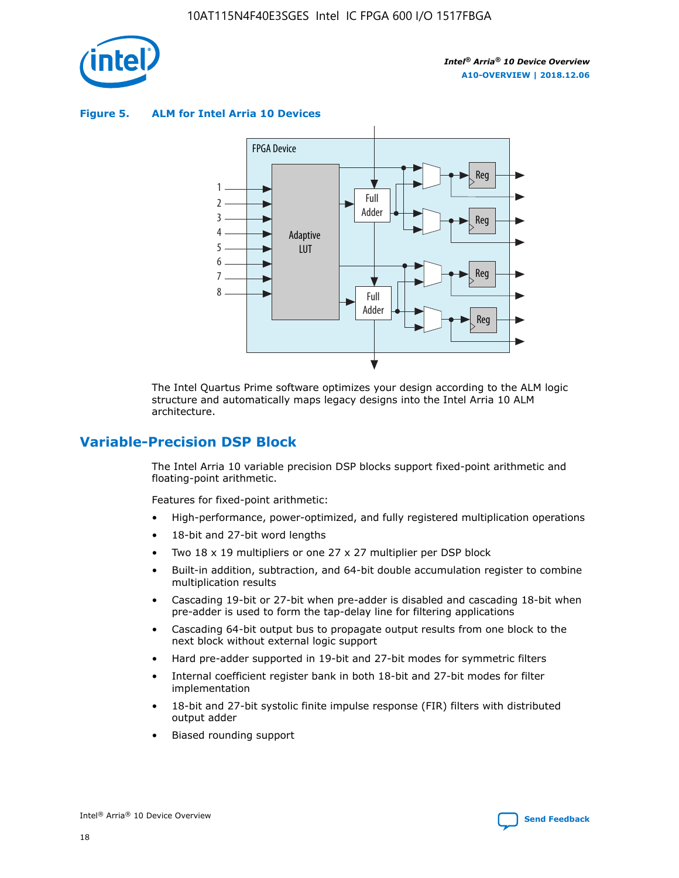

**Figure 5. ALM for Intel Arria 10 Devices**



The Intel Quartus Prime software optimizes your design according to the ALM logic structure and automatically maps legacy designs into the Intel Arria 10 ALM architecture.

# **Variable-Precision DSP Block**

The Intel Arria 10 variable precision DSP blocks support fixed-point arithmetic and floating-point arithmetic.

Features for fixed-point arithmetic:

- High-performance, power-optimized, and fully registered multiplication operations
- 18-bit and 27-bit word lengths
- Two 18 x 19 multipliers or one 27 x 27 multiplier per DSP block
- Built-in addition, subtraction, and 64-bit double accumulation register to combine multiplication results
- Cascading 19-bit or 27-bit when pre-adder is disabled and cascading 18-bit when pre-adder is used to form the tap-delay line for filtering applications
- Cascading 64-bit output bus to propagate output results from one block to the next block without external logic support
- Hard pre-adder supported in 19-bit and 27-bit modes for symmetric filters
- Internal coefficient register bank in both 18-bit and 27-bit modes for filter implementation
- 18-bit and 27-bit systolic finite impulse response (FIR) filters with distributed output adder
- Biased rounding support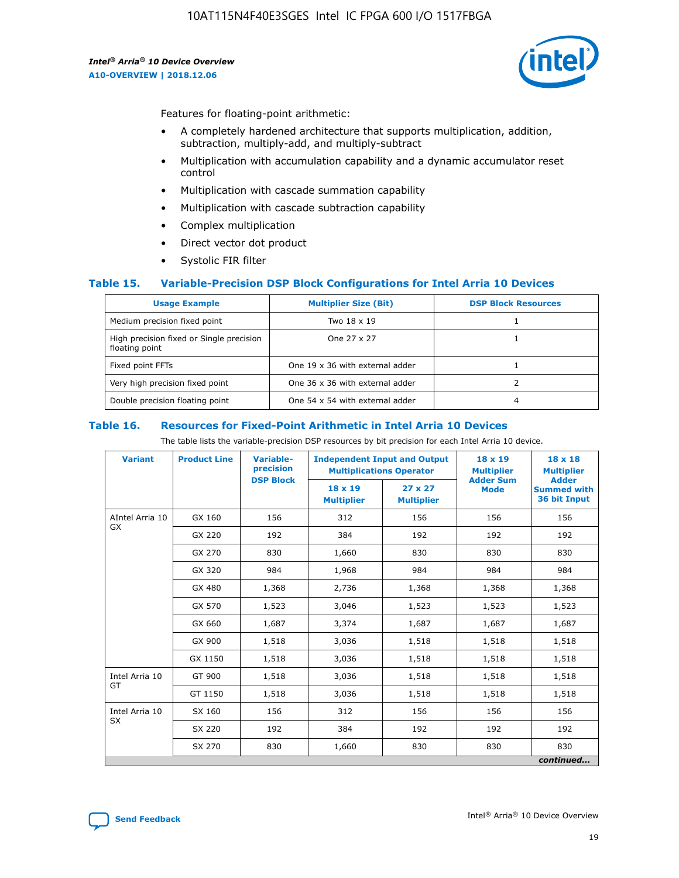

Features for floating-point arithmetic:

- A completely hardened architecture that supports multiplication, addition, subtraction, multiply-add, and multiply-subtract
- Multiplication with accumulation capability and a dynamic accumulator reset control
- Multiplication with cascade summation capability
- Multiplication with cascade subtraction capability
- Complex multiplication
- Direct vector dot product
- Systolic FIR filter

### **Table 15. Variable-Precision DSP Block Configurations for Intel Arria 10 Devices**

| <b>Usage Example</b>                                       | <b>Multiplier Size (Bit)</b>    | <b>DSP Block Resources</b> |
|------------------------------------------------------------|---------------------------------|----------------------------|
| Medium precision fixed point                               | Two 18 x 19                     |                            |
| High precision fixed or Single precision<br>floating point | One 27 x 27                     |                            |
| Fixed point FFTs                                           | One 19 x 36 with external adder |                            |
| Very high precision fixed point                            | One 36 x 36 with external adder |                            |
| Double precision floating point                            | One 54 x 54 with external adder | 4                          |

#### **Table 16. Resources for Fixed-Point Arithmetic in Intel Arria 10 Devices**

The table lists the variable-precision DSP resources by bit precision for each Intel Arria 10 device.

| <b>Variant</b>  | <b>Product Line</b> | <b>Variable-</b><br>precision<br><b>DSP Block</b> | <b>Independent Input and Output</b><br><b>Multiplications Operator</b> |                                     | 18 x 19<br><b>Multiplier</b><br><b>Adder Sum</b> | $18 \times 18$<br><b>Multiplier</b><br><b>Adder</b> |
|-----------------|---------------------|---------------------------------------------------|------------------------------------------------------------------------|-------------------------------------|--------------------------------------------------|-----------------------------------------------------|
|                 |                     |                                                   | 18 x 19<br><b>Multiplier</b>                                           | $27 \times 27$<br><b>Multiplier</b> | <b>Mode</b>                                      | <b>Summed with</b><br>36 bit Input                  |
| AIntel Arria 10 | GX 160              | 156                                               | 312                                                                    | 156                                 | 156                                              | 156                                                 |
| GX              | GX 220              | 192                                               | 384                                                                    | 192                                 | 192                                              | 192                                                 |
|                 | GX 270              | 830                                               | 1,660                                                                  | 830                                 | 830                                              | 830                                                 |
|                 | GX 320              | 984                                               | 1,968                                                                  | 984                                 | 984                                              | 984                                                 |
|                 | GX 480              | 1,368                                             | 2,736                                                                  | 1,368                               | 1,368                                            | 1,368                                               |
|                 | GX 570              | 1,523                                             | 3,046                                                                  | 1,523                               | 1,523                                            | 1,523                                               |
|                 | GX 660              | 1,687                                             | 3,374                                                                  | 1,687                               | 1,687                                            | 1,687                                               |
|                 | GX 900              | 1,518                                             | 3,036                                                                  | 1,518                               | 1,518                                            | 1,518                                               |
|                 | GX 1150             | 1,518                                             | 3,036                                                                  | 1,518                               | 1,518                                            | 1,518                                               |
| Intel Arria 10  | GT 900              | 1,518                                             | 3,036                                                                  | 1,518                               | 1,518                                            | 1,518                                               |
| GT              | GT 1150             | 1,518                                             | 3,036                                                                  | 1,518                               | 1,518                                            | 1,518                                               |
| Intel Arria 10  | SX 160              | 156                                               | 312                                                                    | 156                                 | 156                                              | 156                                                 |
| <b>SX</b>       | SX 220<br>192       |                                                   | 384                                                                    | 192                                 | 192                                              | 192                                                 |
|                 | SX 270              | 830                                               | 1,660                                                                  | 830                                 | 830                                              | 830                                                 |
|                 |                     |                                                   |                                                                        |                                     |                                                  | continued                                           |

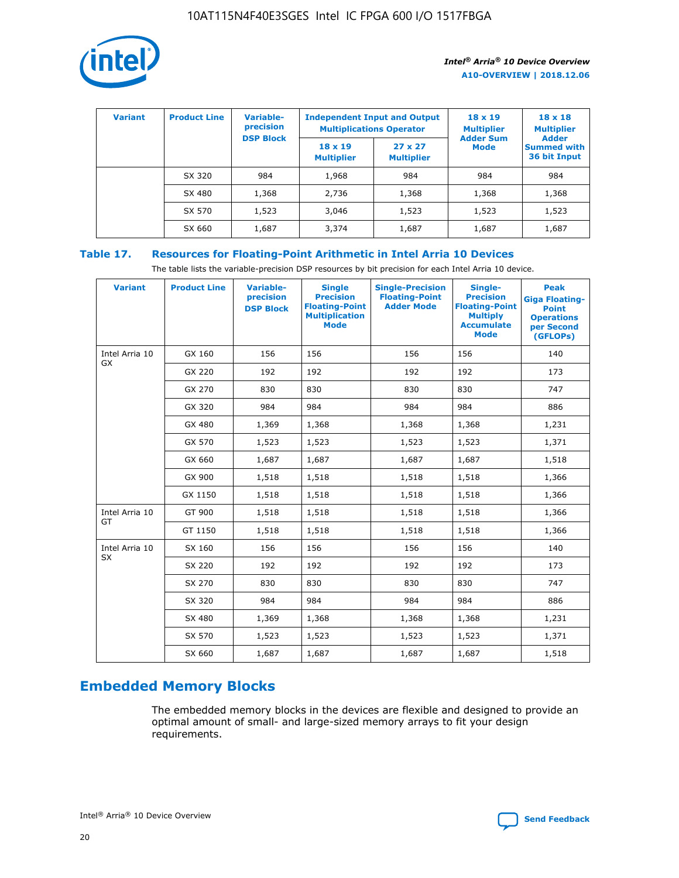

| <b>Variant</b> | <b>Product Line</b> | Variable-<br>precision | <b>Independent Input and Output</b><br><b>Multiplications Operator</b> |                                     | $18 \times 19$<br><b>Multiplier</b> | $18 \times 18$<br><b>Multiplier</b><br><b>Adder</b> |  |
|----------------|---------------------|------------------------|------------------------------------------------------------------------|-------------------------------------|-------------------------------------|-----------------------------------------------------|--|
|                |                     | <b>DSP Block</b>       | $18 \times 19$<br><b>Multiplier</b>                                    | $27 \times 27$<br><b>Multiplier</b> | <b>Adder Sum</b><br><b>Mode</b>     | <b>Summed with</b><br>36 bit Input                  |  |
|                | SX 320              | 984                    | 1,968                                                                  | 984                                 | 984                                 | 984                                                 |  |
|                | SX 480              | 1,368                  | 2,736                                                                  | 1,368                               | 1,368                               | 1,368                                               |  |
|                | SX 570              | 1,523                  | 3,046                                                                  | 1,523                               | 1,523                               | 1,523                                               |  |
|                | SX 660              | 1,687                  | 3,374                                                                  | 1,687                               | 1,687                               | 1,687                                               |  |

## **Table 17. Resources for Floating-Point Arithmetic in Intel Arria 10 Devices**

The table lists the variable-precision DSP resources by bit precision for each Intel Arria 10 device.

| <b>Variant</b> | <b>Product Line</b> | <b>Variable-</b><br>precision<br><b>DSP Block</b> | <b>Single</b><br><b>Precision</b><br><b>Floating-Point</b><br><b>Multiplication</b><br><b>Mode</b> | <b>Single-Precision</b><br><b>Floating-Point</b><br><b>Adder Mode</b> | Single-<br><b>Precision</b><br><b>Floating-Point</b><br><b>Multiply</b><br><b>Accumulate</b><br><b>Mode</b> | <b>Peak</b><br><b>Giga Floating-</b><br><b>Point</b><br><b>Operations</b><br>per Second<br>(GFLOPs) |
|----------------|---------------------|---------------------------------------------------|----------------------------------------------------------------------------------------------------|-----------------------------------------------------------------------|-------------------------------------------------------------------------------------------------------------|-----------------------------------------------------------------------------------------------------|
| Intel Arria 10 | GX 160              | 156                                               | 156                                                                                                | 156                                                                   | 156                                                                                                         | 140                                                                                                 |
| <b>GX</b>      | GX 220              | 192                                               | 192                                                                                                | 192                                                                   | 192                                                                                                         | 173                                                                                                 |
|                | GX 270              | 830                                               | 830                                                                                                | 830                                                                   | 830                                                                                                         | 747                                                                                                 |
|                | GX 320              | 984                                               | 984                                                                                                | 984                                                                   | 984                                                                                                         | 886                                                                                                 |
|                | GX 480              | 1,369                                             | 1,368                                                                                              | 1,368                                                                 | 1,368                                                                                                       | 1,231                                                                                               |
|                | GX 570              | 1,523                                             | 1,523                                                                                              | 1,523                                                                 | 1,523                                                                                                       | 1,371                                                                                               |
|                | GX 660              | 1,687                                             | 1,687                                                                                              | 1,687                                                                 | 1,687                                                                                                       | 1,518                                                                                               |
|                | GX 900              | 1,518                                             | 1,518                                                                                              | 1,518                                                                 | 1,518                                                                                                       | 1,366                                                                                               |
|                | GX 1150             | 1,518                                             | 1,518                                                                                              | 1,518                                                                 | 1,518                                                                                                       | 1,366                                                                                               |
| Intel Arria 10 | GT 900              | 1,518                                             | 1,518                                                                                              | 1,518                                                                 | 1,518                                                                                                       | 1,366                                                                                               |
| GT             | GT 1150             | 1,518                                             | 1,518                                                                                              | 1,518                                                                 | 1,518                                                                                                       | 1,366                                                                                               |
| Intel Arria 10 | SX 160              | 156                                               | 156                                                                                                | 156                                                                   | 156                                                                                                         | 140                                                                                                 |
| SX             | SX 220              | 192                                               | 192                                                                                                | 192                                                                   | 192                                                                                                         | 173                                                                                                 |
|                | SX 270              | 830                                               | 830                                                                                                | 830                                                                   | 830                                                                                                         | 747                                                                                                 |
|                | SX 320              | 984                                               | 984                                                                                                | 984                                                                   | 984                                                                                                         | 886                                                                                                 |
|                | SX 480              | 1,369                                             | 1,368                                                                                              | 1,368                                                                 | 1,368                                                                                                       | 1,231                                                                                               |
|                | SX 570              | 1,523                                             | 1,523                                                                                              | 1,523                                                                 | 1,523                                                                                                       | 1,371                                                                                               |
|                | SX 660              | 1,687                                             | 1,687                                                                                              | 1,687                                                                 | 1,687                                                                                                       | 1,518                                                                                               |

# **Embedded Memory Blocks**

The embedded memory blocks in the devices are flexible and designed to provide an optimal amount of small- and large-sized memory arrays to fit your design requirements.

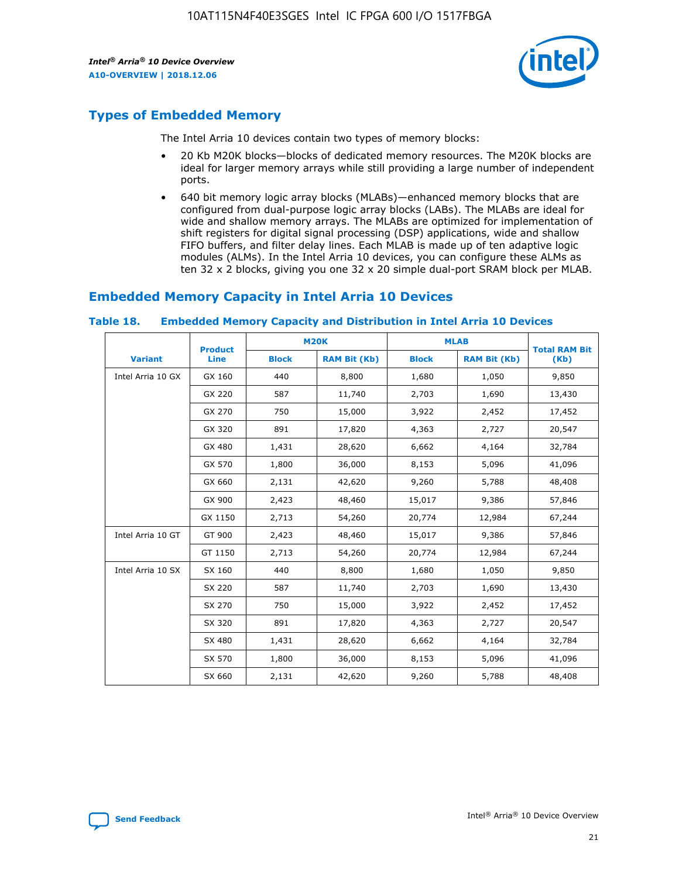

# **Types of Embedded Memory**

The Intel Arria 10 devices contain two types of memory blocks:

- 20 Kb M20K blocks—blocks of dedicated memory resources. The M20K blocks are ideal for larger memory arrays while still providing a large number of independent ports.
- 640 bit memory logic array blocks (MLABs)—enhanced memory blocks that are configured from dual-purpose logic array blocks (LABs). The MLABs are ideal for wide and shallow memory arrays. The MLABs are optimized for implementation of shift registers for digital signal processing (DSP) applications, wide and shallow FIFO buffers, and filter delay lines. Each MLAB is made up of ten adaptive logic modules (ALMs). In the Intel Arria 10 devices, you can configure these ALMs as ten 32 x 2 blocks, giving you one 32 x 20 simple dual-port SRAM block per MLAB.

# **Embedded Memory Capacity in Intel Arria 10 Devices**

|                   | <b>Product</b> | <b>M20K</b>  |                     | <b>MLAB</b>  |                     | <b>Total RAM Bit</b> |
|-------------------|----------------|--------------|---------------------|--------------|---------------------|----------------------|
| <b>Variant</b>    | <b>Line</b>    | <b>Block</b> | <b>RAM Bit (Kb)</b> | <b>Block</b> | <b>RAM Bit (Kb)</b> | (Kb)                 |
| Intel Arria 10 GX | GX 160         | 440          | 8,800               | 1,680        | 1,050               | 9,850                |
|                   | GX 220         | 587          | 11,740              | 2,703        | 1,690               | 13,430               |
|                   | GX 270         | 750          | 15,000              | 3,922        | 2,452               | 17,452               |
|                   | GX 320         | 891          | 17,820              | 4,363        | 2,727               | 20,547               |
|                   | GX 480         | 1,431        | 28,620              | 6,662        | 4,164               | 32,784               |
|                   | GX 570         | 1,800        | 36,000              | 8,153        | 5,096               | 41,096               |
|                   | GX 660         | 2,131        | 42,620              | 9,260        | 5,788               | 48,408               |
|                   | GX 900         | 2,423        | 48,460              | 15,017       | 9,386               | 57,846               |
|                   | GX 1150        | 2,713        | 54,260              | 20,774       | 12,984              | 67,244               |
| Intel Arria 10 GT | GT 900         | 2,423        | 48,460              | 15,017       | 9,386               | 57,846               |
|                   | GT 1150        | 2,713        | 54,260              | 20,774       | 12,984              | 67,244               |
| Intel Arria 10 SX | SX 160         | 440          | 8,800               | 1,680        | 1,050               | 9,850                |
|                   | SX 220         | 587          | 11,740              | 2,703        | 1,690               | 13,430               |
|                   | SX 270         | 750          | 15,000              | 3,922        | 2,452               | 17,452               |
|                   | SX 320         | 891          | 17,820              | 4,363        | 2,727               | 20,547               |
|                   | SX 480         | 1,431        | 28,620              | 6,662        | 4,164               | 32,784               |
|                   | SX 570         | 1,800        | 36,000              | 8,153        | 5,096               | 41,096               |
|                   | SX 660         | 2,131        | 42,620              | 9,260        | 5,788               | 48,408               |

#### **Table 18. Embedded Memory Capacity and Distribution in Intel Arria 10 Devices**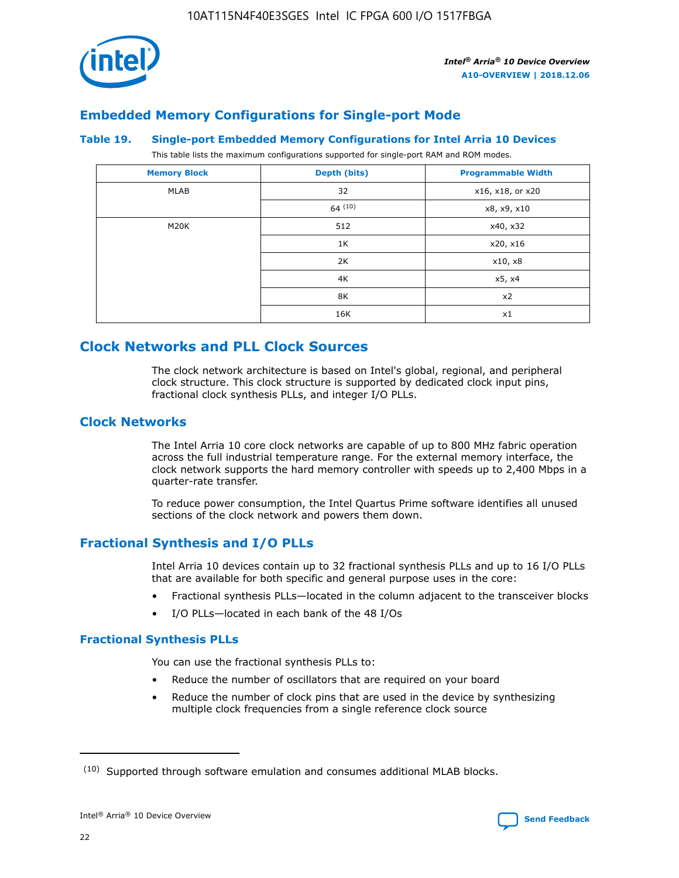

# **Embedded Memory Configurations for Single-port Mode**

#### **Table 19. Single-port Embedded Memory Configurations for Intel Arria 10 Devices**

This table lists the maximum configurations supported for single-port RAM and ROM modes.

| <b>Memory Block</b> | Depth (bits) | <b>Programmable Width</b> |
|---------------------|--------------|---------------------------|
| MLAB                | 32           | x16, x18, or x20          |
|                     | 64(10)       | x8, x9, x10               |
| M20K                | 512          | x40, x32                  |
|                     | 1K           | x20, x16                  |
|                     | 2K           | x10, x8                   |
|                     | 4K           | x5, x4                    |
|                     | 8K           | x2                        |
|                     | 16K          | x1                        |

# **Clock Networks and PLL Clock Sources**

The clock network architecture is based on Intel's global, regional, and peripheral clock structure. This clock structure is supported by dedicated clock input pins, fractional clock synthesis PLLs, and integer I/O PLLs.

## **Clock Networks**

The Intel Arria 10 core clock networks are capable of up to 800 MHz fabric operation across the full industrial temperature range. For the external memory interface, the clock network supports the hard memory controller with speeds up to 2,400 Mbps in a quarter-rate transfer.

To reduce power consumption, the Intel Quartus Prime software identifies all unused sections of the clock network and powers them down.

## **Fractional Synthesis and I/O PLLs**

Intel Arria 10 devices contain up to 32 fractional synthesis PLLs and up to 16 I/O PLLs that are available for both specific and general purpose uses in the core:

- Fractional synthesis PLLs—located in the column adjacent to the transceiver blocks
- I/O PLLs—located in each bank of the 48 I/Os

## **Fractional Synthesis PLLs**

You can use the fractional synthesis PLLs to:

- Reduce the number of oscillators that are required on your board
- Reduce the number of clock pins that are used in the device by synthesizing multiple clock frequencies from a single reference clock source

<sup>(10)</sup> Supported through software emulation and consumes additional MLAB blocks.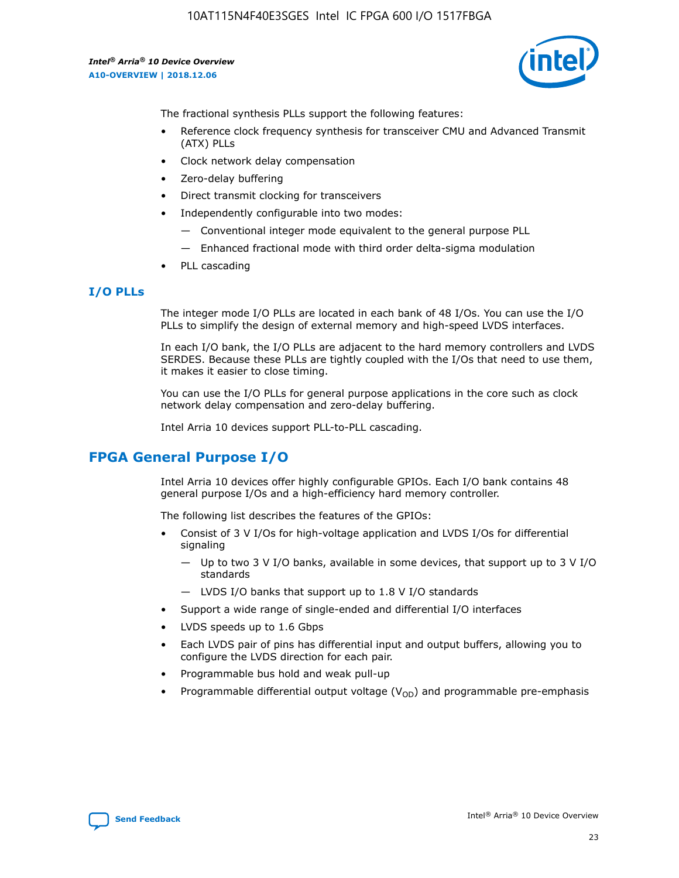

The fractional synthesis PLLs support the following features:

- Reference clock frequency synthesis for transceiver CMU and Advanced Transmit (ATX) PLLs
- Clock network delay compensation
- Zero-delay buffering
- Direct transmit clocking for transceivers
- Independently configurable into two modes:
	- Conventional integer mode equivalent to the general purpose PLL
	- Enhanced fractional mode with third order delta-sigma modulation
- PLL cascading

### **I/O PLLs**

The integer mode I/O PLLs are located in each bank of 48 I/Os. You can use the I/O PLLs to simplify the design of external memory and high-speed LVDS interfaces.

In each I/O bank, the I/O PLLs are adjacent to the hard memory controllers and LVDS SERDES. Because these PLLs are tightly coupled with the I/Os that need to use them, it makes it easier to close timing.

You can use the I/O PLLs for general purpose applications in the core such as clock network delay compensation and zero-delay buffering.

Intel Arria 10 devices support PLL-to-PLL cascading.

# **FPGA General Purpose I/O**

Intel Arria 10 devices offer highly configurable GPIOs. Each I/O bank contains 48 general purpose I/Os and a high-efficiency hard memory controller.

The following list describes the features of the GPIOs:

- Consist of 3 V I/Os for high-voltage application and LVDS I/Os for differential signaling
	- Up to two 3 V I/O banks, available in some devices, that support up to 3 V I/O standards
	- LVDS I/O banks that support up to 1.8 V I/O standards
- Support a wide range of single-ended and differential I/O interfaces
- LVDS speeds up to 1.6 Gbps
- Each LVDS pair of pins has differential input and output buffers, allowing you to configure the LVDS direction for each pair.
- Programmable bus hold and weak pull-up
- Programmable differential output voltage  $(V_{OD})$  and programmable pre-emphasis

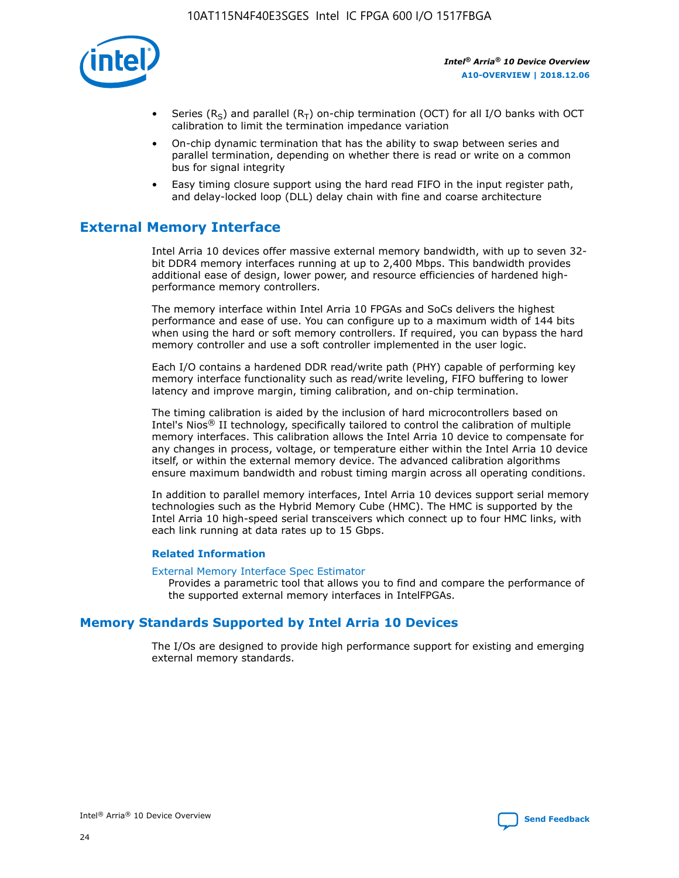

- Series (R<sub>S</sub>) and parallel (R<sub>T</sub>) on-chip termination (OCT) for all I/O banks with OCT calibration to limit the termination impedance variation
- On-chip dynamic termination that has the ability to swap between series and parallel termination, depending on whether there is read or write on a common bus for signal integrity
- Easy timing closure support using the hard read FIFO in the input register path, and delay-locked loop (DLL) delay chain with fine and coarse architecture

# **External Memory Interface**

Intel Arria 10 devices offer massive external memory bandwidth, with up to seven 32 bit DDR4 memory interfaces running at up to 2,400 Mbps. This bandwidth provides additional ease of design, lower power, and resource efficiencies of hardened highperformance memory controllers.

The memory interface within Intel Arria 10 FPGAs and SoCs delivers the highest performance and ease of use. You can configure up to a maximum width of 144 bits when using the hard or soft memory controllers. If required, you can bypass the hard memory controller and use a soft controller implemented in the user logic.

Each I/O contains a hardened DDR read/write path (PHY) capable of performing key memory interface functionality such as read/write leveling, FIFO buffering to lower latency and improve margin, timing calibration, and on-chip termination.

The timing calibration is aided by the inclusion of hard microcontrollers based on Intel's Nios® II technology, specifically tailored to control the calibration of multiple memory interfaces. This calibration allows the Intel Arria 10 device to compensate for any changes in process, voltage, or temperature either within the Intel Arria 10 device itself, or within the external memory device. The advanced calibration algorithms ensure maximum bandwidth and robust timing margin across all operating conditions.

In addition to parallel memory interfaces, Intel Arria 10 devices support serial memory technologies such as the Hybrid Memory Cube (HMC). The HMC is supported by the Intel Arria 10 high-speed serial transceivers which connect up to four HMC links, with each link running at data rates up to 15 Gbps.

### **Related Information**

#### [External Memory Interface Spec Estimator](http://www.altera.com/technology/memory/estimator/mem-emif-index.html)

Provides a parametric tool that allows you to find and compare the performance of the supported external memory interfaces in IntelFPGAs.

## **Memory Standards Supported by Intel Arria 10 Devices**

The I/Os are designed to provide high performance support for existing and emerging external memory standards.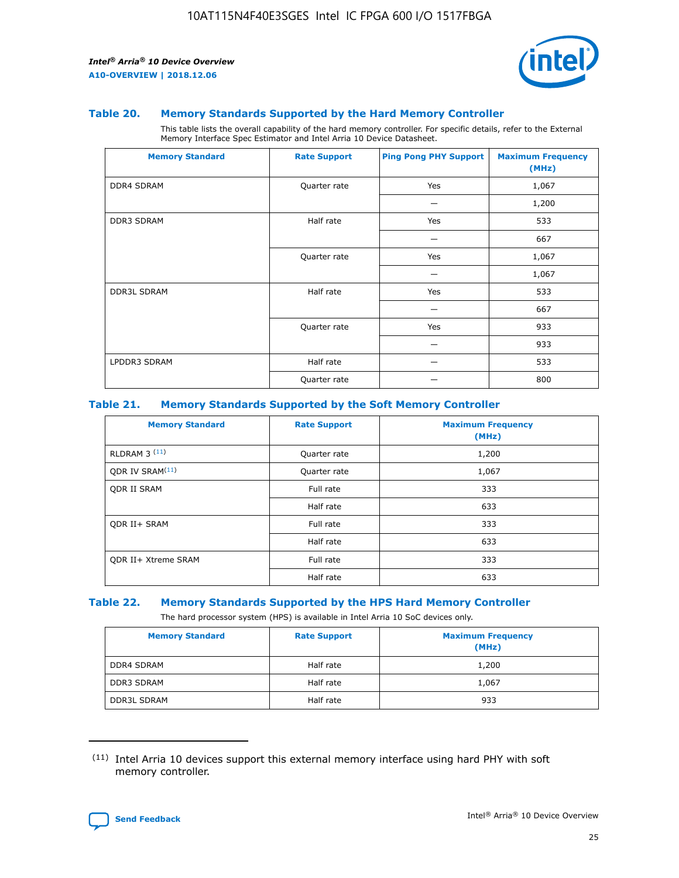

#### **Table 20. Memory Standards Supported by the Hard Memory Controller**

This table lists the overall capability of the hard memory controller. For specific details, refer to the External Memory Interface Spec Estimator and Intel Arria 10 Device Datasheet.

| <b>Memory Standard</b> | <b>Rate Support</b> | <b>Ping Pong PHY Support</b> | <b>Maximum Frequency</b><br>(MHz) |
|------------------------|---------------------|------------------------------|-----------------------------------|
| <b>DDR4 SDRAM</b>      | Quarter rate        | Yes                          | 1,067                             |
|                        |                     |                              | 1,200                             |
| DDR3 SDRAM             | Half rate           | Yes                          | 533                               |
|                        |                     |                              | 667                               |
|                        | Quarter rate        | Yes                          | 1,067                             |
|                        |                     |                              | 1,067                             |
| <b>DDR3L SDRAM</b>     | Half rate           | Yes                          | 533                               |
|                        |                     |                              | 667                               |
|                        | Quarter rate        | Yes                          | 933                               |
|                        |                     |                              | 933                               |
| LPDDR3 SDRAM           | Half rate           |                              | 533                               |
|                        | Quarter rate        |                              | 800                               |

### **Table 21. Memory Standards Supported by the Soft Memory Controller**

| <b>Memory Standard</b>      | <b>Rate Support</b> | <b>Maximum Frequency</b><br>(MHz) |
|-----------------------------|---------------------|-----------------------------------|
| <b>RLDRAM 3 (11)</b>        | Quarter rate        | 1,200                             |
| QDR IV SRAM <sup>(11)</sup> | Quarter rate        | 1,067                             |
| <b>ODR II SRAM</b>          | Full rate           | 333                               |
|                             | Half rate           | 633                               |
| <b>ODR II+ SRAM</b>         | Full rate           | 333                               |
|                             | Half rate           | 633                               |
| <b>QDR II+ Xtreme SRAM</b>  | Full rate           | 333                               |
|                             | Half rate           | 633                               |

#### **Table 22. Memory Standards Supported by the HPS Hard Memory Controller**

The hard processor system (HPS) is available in Intel Arria 10 SoC devices only.

| <b>Memory Standard</b> | <b>Rate Support</b> | <b>Maximum Frequency</b><br>(MHz) |
|------------------------|---------------------|-----------------------------------|
| <b>DDR4 SDRAM</b>      | Half rate           | 1,200                             |
| <b>DDR3 SDRAM</b>      | Half rate           | 1,067                             |
| <b>DDR3L SDRAM</b>     | Half rate           | 933                               |

<sup>(11)</sup> Intel Arria 10 devices support this external memory interface using hard PHY with soft memory controller.

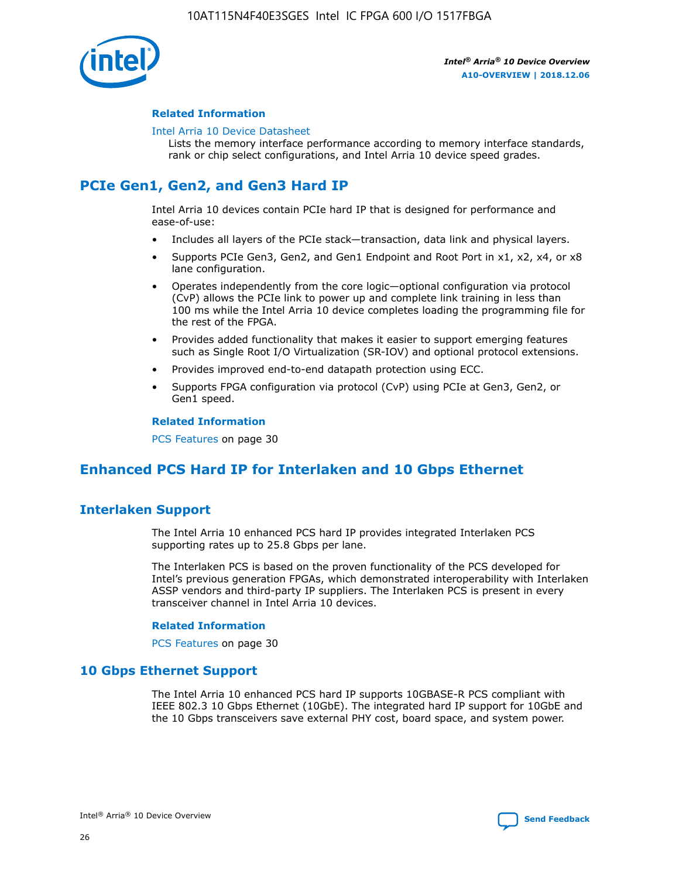

### **Related Information**

#### [Intel Arria 10 Device Datasheet](https://www.intel.com/content/www/us/en/programmable/documentation/mcn1413182292568.html#mcn1413182153340)

Lists the memory interface performance according to memory interface standards, rank or chip select configurations, and Intel Arria 10 device speed grades.

# **PCIe Gen1, Gen2, and Gen3 Hard IP**

Intel Arria 10 devices contain PCIe hard IP that is designed for performance and ease-of-use:

- Includes all layers of the PCIe stack—transaction, data link and physical layers.
- Supports PCIe Gen3, Gen2, and Gen1 Endpoint and Root Port in x1, x2, x4, or x8 lane configuration.
- Operates independently from the core logic—optional configuration via protocol (CvP) allows the PCIe link to power up and complete link training in less than 100 ms while the Intel Arria 10 device completes loading the programming file for the rest of the FPGA.
- Provides added functionality that makes it easier to support emerging features such as Single Root I/O Virtualization (SR-IOV) and optional protocol extensions.
- Provides improved end-to-end datapath protection using ECC.
- Supports FPGA configuration via protocol (CvP) using PCIe at Gen3, Gen2, or Gen1 speed.

#### **Related Information**

PCS Features on page 30

# **Enhanced PCS Hard IP for Interlaken and 10 Gbps Ethernet**

## **Interlaken Support**

The Intel Arria 10 enhanced PCS hard IP provides integrated Interlaken PCS supporting rates up to 25.8 Gbps per lane.

The Interlaken PCS is based on the proven functionality of the PCS developed for Intel's previous generation FPGAs, which demonstrated interoperability with Interlaken ASSP vendors and third-party IP suppliers. The Interlaken PCS is present in every transceiver channel in Intel Arria 10 devices.

### **Related Information**

PCS Features on page 30

## **10 Gbps Ethernet Support**

The Intel Arria 10 enhanced PCS hard IP supports 10GBASE-R PCS compliant with IEEE 802.3 10 Gbps Ethernet (10GbE). The integrated hard IP support for 10GbE and the 10 Gbps transceivers save external PHY cost, board space, and system power.

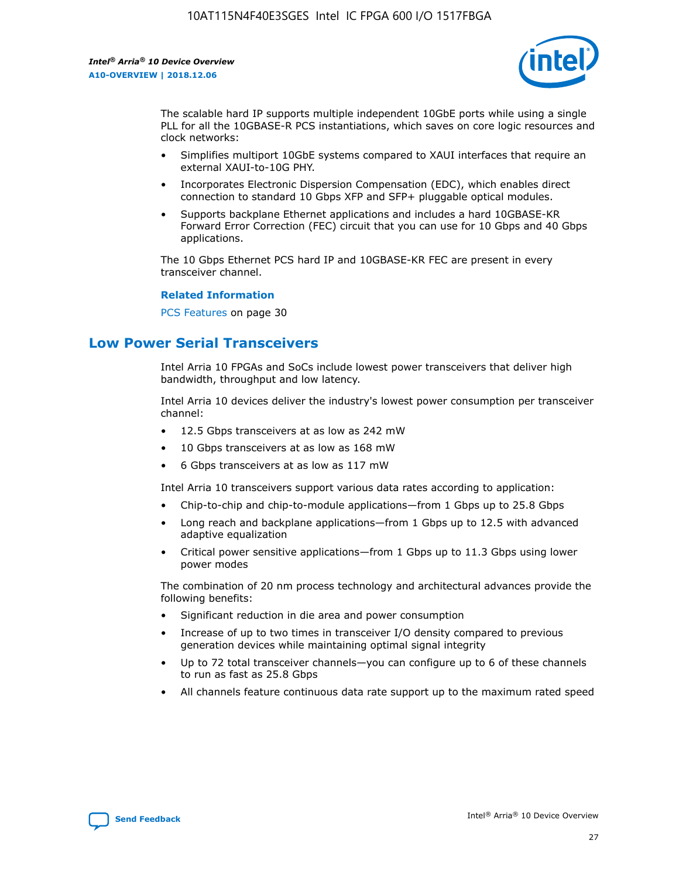

The scalable hard IP supports multiple independent 10GbE ports while using a single PLL for all the 10GBASE-R PCS instantiations, which saves on core logic resources and clock networks:

- Simplifies multiport 10GbE systems compared to XAUI interfaces that require an external XAUI-to-10G PHY.
- Incorporates Electronic Dispersion Compensation (EDC), which enables direct connection to standard 10 Gbps XFP and SFP+ pluggable optical modules.
- Supports backplane Ethernet applications and includes a hard 10GBASE-KR Forward Error Correction (FEC) circuit that you can use for 10 Gbps and 40 Gbps applications.

The 10 Gbps Ethernet PCS hard IP and 10GBASE-KR FEC are present in every transceiver channel.

#### **Related Information**

PCS Features on page 30

# **Low Power Serial Transceivers**

Intel Arria 10 FPGAs and SoCs include lowest power transceivers that deliver high bandwidth, throughput and low latency.

Intel Arria 10 devices deliver the industry's lowest power consumption per transceiver channel:

- 12.5 Gbps transceivers at as low as 242 mW
- 10 Gbps transceivers at as low as 168 mW
- 6 Gbps transceivers at as low as 117 mW

Intel Arria 10 transceivers support various data rates according to application:

- Chip-to-chip and chip-to-module applications—from 1 Gbps up to 25.8 Gbps
- Long reach and backplane applications—from 1 Gbps up to 12.5 with advanced adaptive equalization
- Critical power sensitive applications—from 1 Gbps up to 11.3 Gbps using lower power modes

The combination of 20 nm process technology and architectural advances provide the following benefits:

- Significant reduction in die area and power consumption
- Increase of up to two times in transceiver I/O density compared to previous generation devices while maintaining optimal signal integrity
- Up to 72 total transceiver channels—you can configure up to 6 of these channels to run as fast as 25.8 Gbps
- All channels feature continuous data rate support up to the maximum rated speed

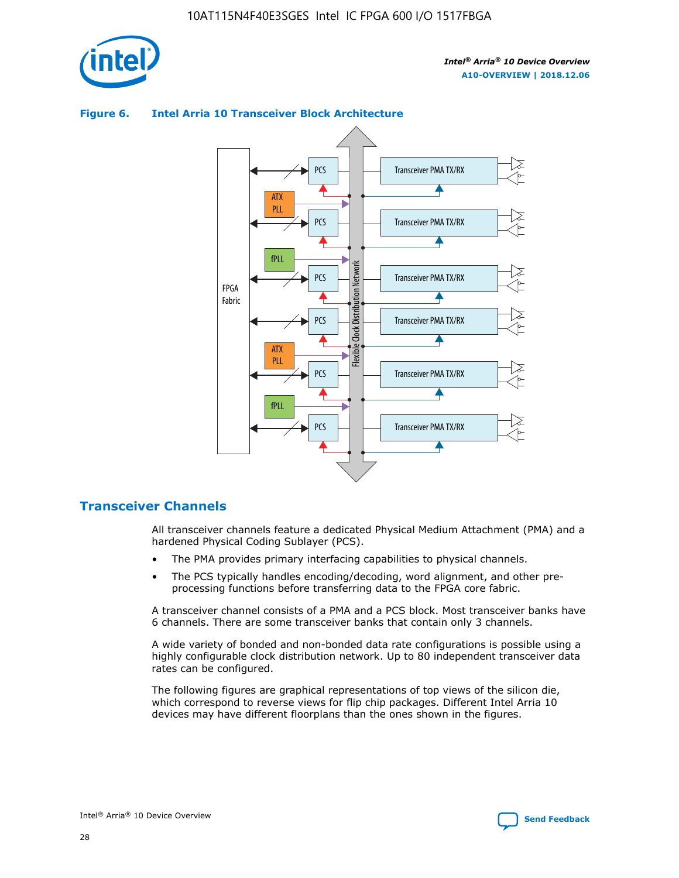

#### Transceiver PMA TX/RX PCS ATX PLL Transceiver PMA TX/RX PCS fPLL Network Flexible Clock Distribution Network PCS Transceiver PMA TX/RX FPGA **Clock Distribution** Fabric PCS Transceiver PMA TX/RX ATX Flexible PLL PCS Transceiver PMA TX/RX ▲ fPLL Transceiver PMA TX/RX PCS

## **Figure 6. Intel Arria 10 Transceiver Block Architecture**

## **Transceiver Channels**

All transceiver channels feature a dedicated Physical Medium Attachment (PMA) and a hardened Physical Coding Sublayer (PCS).

4

- The PMA provides primary interfacing capabilities to physical channels.
- The PCS typically handles encoding/decoding, word alignment, and other preprocessing functions before transferring data to the FPGA core fabric.

A transceiver channel consists of a PMA and a PCS block. Most transceiver banks have 6 channels. There are some transceiver banks that contain only 3 channels.

A wide variety of bonded and non-bonded data rate configurations is possible using a highly configurable clock distribution network. Up to 80 independent transceiver data rates can be configured.

The following figures are graphical representations of top views of the silicon die, which correspond to reverse views for flip chip packages. Different Intel Arria 10 devices may have different floorplans than the ones shown in the figures.

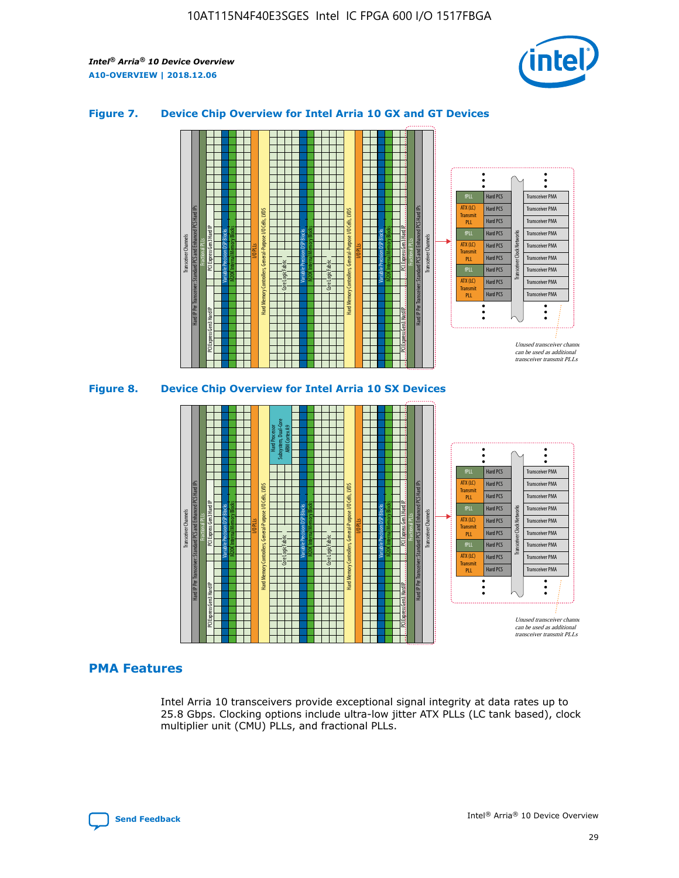

## **Figure 7. Device Chip Overview for Intel Arria 10 GX and GT Devices**





## **PMA Features**

Intel Arria 10 transceivers provide exceptional signal integrity at data rates up to 25.8 Gbps. Clocking options include ultra-low jitter ATX PLLs (LC tank based), clock multiplier unit (CMU) PLLs, and fractional PLLs.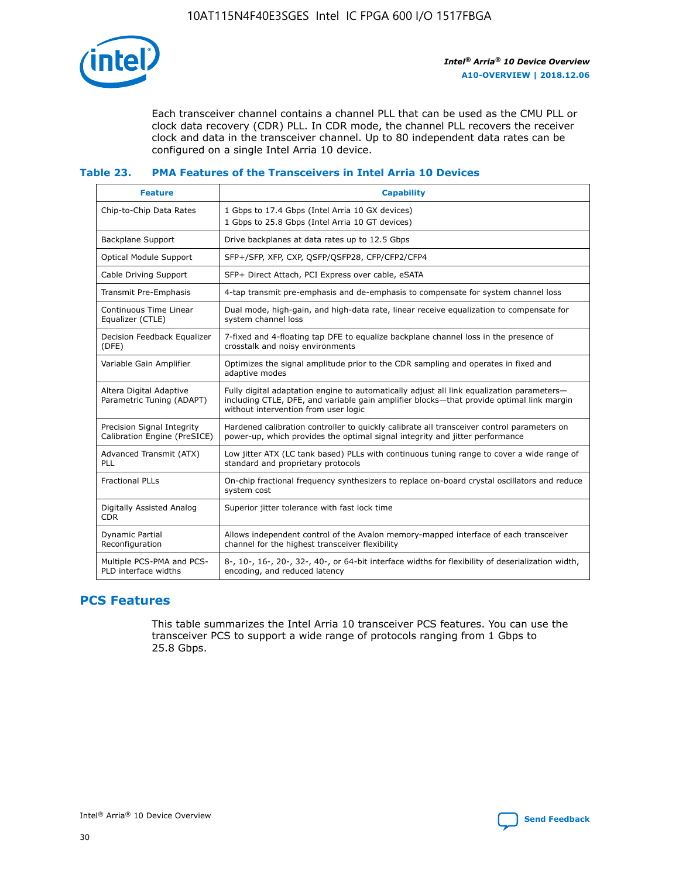

Each transceiver channel contains a channel PLL that can be used as the CMU PLL or clock data recovery (CDR) PLL. In CDR mode, the channel PLL recovers the receiver clock and data in the transceiver channel. Up to 80 independent data rates can be configured on a single Intel Arria 10 device.

## **Table 23. PMA Features of the Transceivers in Intel Arria 10 Devices**

| <b>Feature</b>                                             | <b>Capability</b>                                                                                                                                                                                                             |
|------------------------------------------------------------|-------------------------------------------------------------------------------------------------------------------------------------------------------------------------------------------------------------------------------|
| Chip-to-Chip Data Rates                                    | 1 Gbps to 17.4 Gbps (Intel Arria 10 GX devices)<br>1 Gbps to 25.8 Gbps (Intel Arria 10 GT devices)                                                                                                                            |
| <b>Backplane Support</b>                                   | Drive backplanes at data rates up to 12.5 Gbps                                                                                                                                                                                |
| <b>Optical Module Support</b>                              | SFP+/SFP, XFP, CXP, QSFP/QSFP28, CFP/CFP2/CFP4                                                                                                                                                                                |
| Cable Driving Support                                      | SFP+ Direct Attach, PCI Express over cable, eSATA                                                                                                                                                                             |
| Transmit Pre-Emphasis                                      | 4-tap transmit pre-emphasis and de-emphasis to compensate for system channel loss                                                                                                                                             |
| Continuous Time Linear<br>Equalizer (CTLE)                 | Dual mode, high-gain, and high-data rate, linear receive equalization to compensate for<br>system channel loss                                                                                                                |
| Decision Feedback Equalizer<br>(DFE)                       | 7-fixed and 4-floating tap DFE to equalize backplane channel loss in the presence of<br>crosstalk and noisy environments                                                                                                      |
| Variable Gain Amplifier                                    | Optimizes the signal amplitude prior to the CDR sampling and operates in fixed and<br>adaptive modes                                                                                                                          |
| Altera Digital Adaptive<br>Parametric Tuning (ADAPT)       | Fully digital adaptation engine to automatically adjust all link equalization parameters-<br>including CTLE, DFE, and variable gain amplifier blocks—that provide optimal link margin<br>without intervention from user logic |
| Precision Signal Integrity<br>Calibration Engine (PreSICE) | Hardened calibration controller to quickly calibrate all transceiver control parameters on<br>power-up, which provides the optimal signal integrity and jitter performance                                                    |
| Advanced Transmit (ATX)<br>PLL                             | Low jitter ATX (LC tank based) PLLs with continuous tuning range to cover a wide range of<br>standard and proprietary protocols                                                                                               |
| <b>Fractional PLLs</b>                                     | On-chip fractional frequency synthesizers to replace on-board crystal oscillators and reduce<br>system cost                                                                                                                   |
| Digitally Assisted Analog<br><b>CDR</b>                    | Superior jitter tolerance with fast lock time                                                                                                                                                                                 |
| Dynamic Partial<br>Reconfiguration                         | Allows independent control of the Avalon memory-mapped interface of each transceiver<br>channel for the highest transceiver flexibility                                                                                       |
| Multiple PCS-PMA and PCS-<br>PLD interface widths          | 8-, 10-, 16-, 20-, 32-, 40-, or 64-bit interface widths for flexibility of deserialization width,<br>encoding, and reduced latency                                                                                            |

## **PCS Features**

This table summarizes the Intel Arria 10 transceiver PCS features. You can use the transceiver PCS to support a wide range of protocols ranging from 1 Gbps to 25.8 Gbps.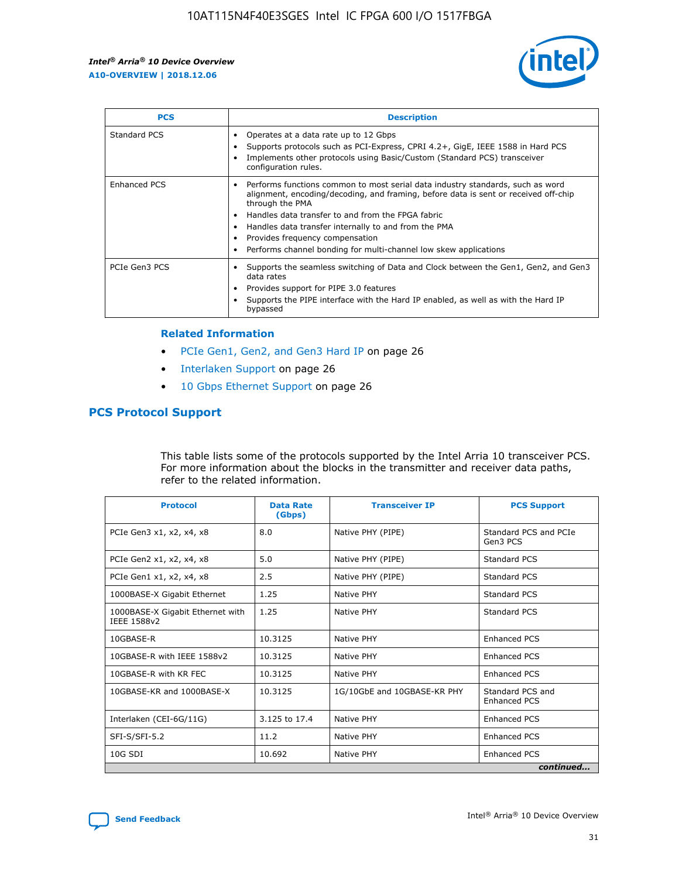

| <b>PCS</b>    | <b>Description</b>                                                                                                                                                                                                                                                                                                                                                                                             |
|---------------|----------------------------------------------------------------------------------------------------------------------------------------------------------------------------------------------------------------------------------------------------------------------------------------------------------------------------------------------------------------------------------------------------------------|
| Standard PCS  | Operates at a data rate up to 12 Gbps<br>Supports protocols such as PCI-Express, CPRI 4.2+, GigE, IEEE 1588 in Hard PCS<br>Implements other protocols using Basic/Custom (Standard PCS) transceiver<br>configuration rules.                                                                                                                                                                                    |
| Enhanced PCS  | Performs functions common to most serial data industry standards, such as word<br>alignment, encoding/decoding, and framing, before data is sent or received off-chip<br>through the PMA<br>• Handles data transfer to and from the FPGA fabric<br>Handles data transfer internally to and from the PMA<br>Provides frequency compensation<br>Performs channel bonding for multi-channel low skew applications |
| PCIe Gen3 PCS | Supports the seamless switching of Data and Clock between the Gen1, Gen2, and Gen3<br>data rates<br>Provides support for PIPE 3.0 features<br>Supports the PIPE interface with the Hard IP enabled, as well as with the Hard IP<br>bypassed                                                                                                                                                                    |

#### **Related Information**

- PCIe Gen1, Gen2, and Gen3 Hard IP on page 26
- Interlaken Support on page 26
- 10 Gbps Ethernet Support on page 26

## **PCS Protocol Support**

This table lists some of the protocols supported by the Intel Arria 10 transceiver PCS. For more information about the blocks in the transmitter and receiver data paths, refer to the related information.

| <b>Protocol</b>                                 | <b>Data Rate</b><br>(Gbps) | <b>Transceiver IP</b>       | <b>PCS Support</b>                      |
|-------------------------------------------------|----------------------------|-----------------------------|-----------------------------------------|
| PCIe Gen3 x1, x2, x4, x8                        | 8.0                        | Native PHY (PIPE)           | Standard PCS and PCIe<br>Gen3 PCS       |
| PCIe Gen2 x1, x2, x4, x8                        | 5.0                        | Native PHY (PIPE)           | <b>Standard PCS</b>                     |
| PCIe Gen1 x1, x2, x4, x8                        | 2.5                        | Native PHY (PIPE)           | Standard PCS                            |
| 1000BASE-X Gigabit Ethernet                     | 1.25                       | Native PHY                  | <b>Standard PCS</b>                     |
| 1000BASE-X Gigabit Ethernet with<br>IEEE 1588v2 | 1.25                       | Native PHY                  | Standard PCS                            |
| 10GBASE-R                                       | 10.3125                    | Native PHY                  | <b>Enhanced PCS</b>                     |
| 10GBASE-R with IEEE 1588v2                      | 10.3125                    | Native PHY                  | <b>Enhanced PCS</b>                     |
| 10GBASE-R with KR FEC                           | 10.3125                    | Native PHY                  | <b>Enhanced PCS</b>                     |
| 10GBASE-KR and 1000BASE-X                       | 10.3125                    | 1G/10GbE and 10GBASE-KR PHY | Standard PCS and<br><b>Enhanced PCS</b> |
| Interlaken (CEI-6G/11G)                         | 3.125 to 17.4              | Native PHY                  | <b>Enhanced PCS</b>                     |
| SFI-S/SFI-5.2                                   | 11.2                       | Native PHY                  | <b>Enhanced PCS</b>                     |
| $10G$ SDI                                       | 10.692                     | Native PHY                  | <b>Enhanced PCS</b>                     |
|                                                 |                            |                             | continued                               |

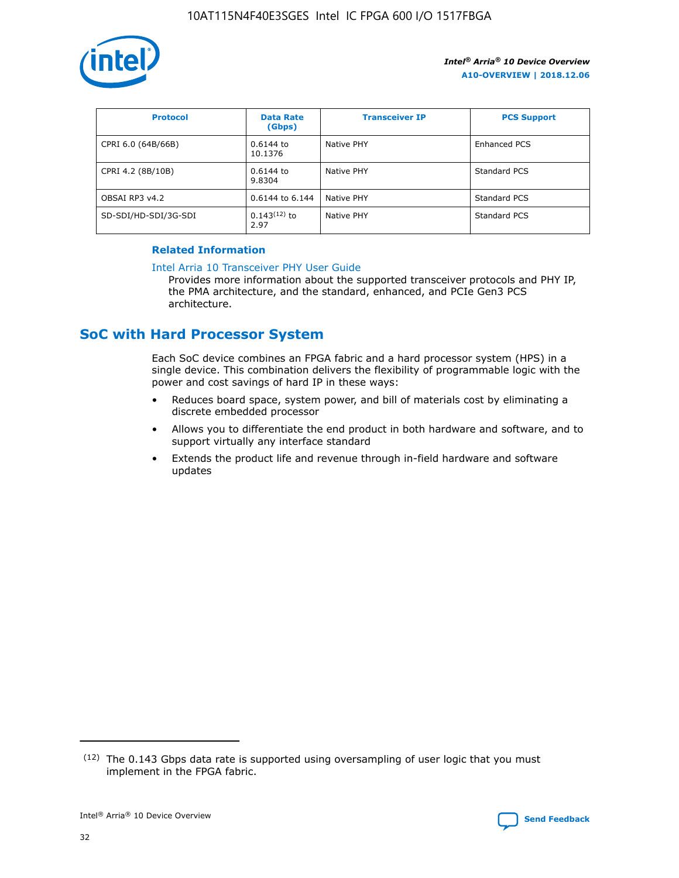

| <b>Protocol</b>      | <b>Data Rate</b><br>(Gbps) | <b>Transceiver IP</b> | <b>PCS Support</b> |
|----------------------|----------------------------|-----------------------|--------------------|
| CPRI 6.0 (64B/66B)   | 0.6144 to<br>10.1376       | Native PHY            | Enhanced PCS       |
| CPRI 4.2 (8B/10B)    | 0.6144 to<br>9.8304        | Native PHY            | Standard PCS       |
| OBSAI RP3 v4.2       | 0.6144 to 6.144            | Native PHY            | Standard PCS       |
| SD-SDI/HD-SDI/3G-SDI | $0.143(12)$ to<br>2.97     | Native PHY            | Standard PCS       |

## **Related Information**

#### [Intel Arria 10 Transceiver PHY User Guide](https://www.intel.com/content/www/us/en/programmable/documentation/nik1398707230472.html#nik1398707091164)

Provides more information about the supported transceiver protocols and PHY IP, the PMA architecture, and the standard, enhanced, and PCIe Gen3 PCS architecture.

# **SoC with Hard Processor System**

Each SoC device combines an FPGA fabric and a hard processor system (HPS) in a single device. This combination delivers the flexibility of programmable logic with the power and cost savings of hard IP in these ways:

- Reduces board space, system power, and bill of materials cost by eliminating a discrete embedded processor
- Allows you to differentiate the end product in both hardware and software, and to support virtually any interface standard
- Extends the product life and revenue through in-field hardware and software updates

 $(12)$  The 0.143 Gbps data rate is supported using oversampling of user logic that you must implement in the FPGA fabric.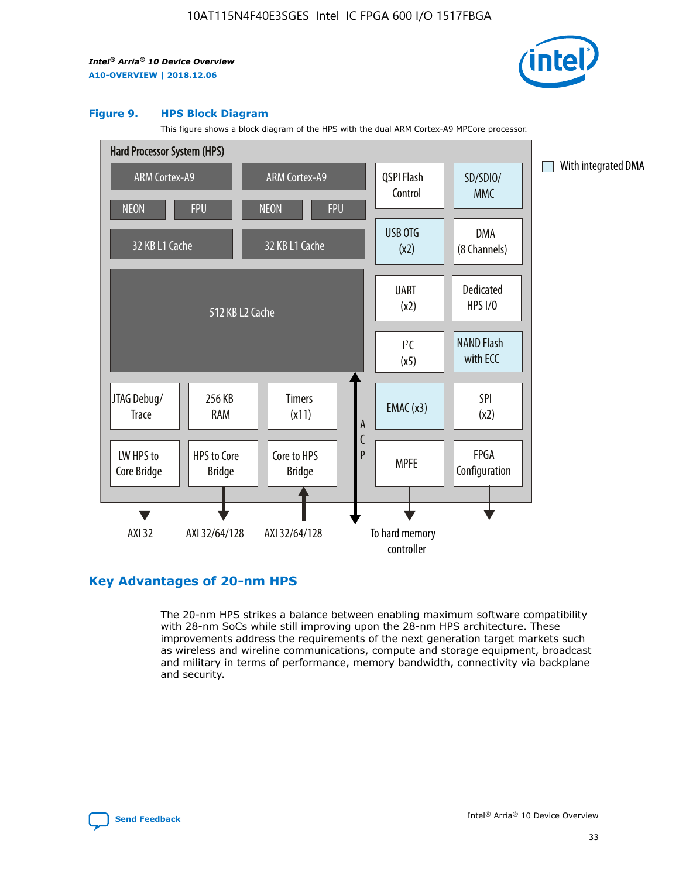

#### **Figure 9. HPS Block Diagram**

This figure shows a block diagram of the HPS with the dual ARM Cortex-A9 MPCore processor.



## **Key Advantages of 20-nm HPS**

The 20-nm HPS strikes a balance between enabling maximum software compatibility with 28-nm SoCs while still improving upon the 28-nm HPS architecture. These improvements address the requirements of the next generation target markets such as wireless and wireline communications, compute and storage equipment, broadcast and military in terms of performance, memory bandwidth, connectivity via backplane and security.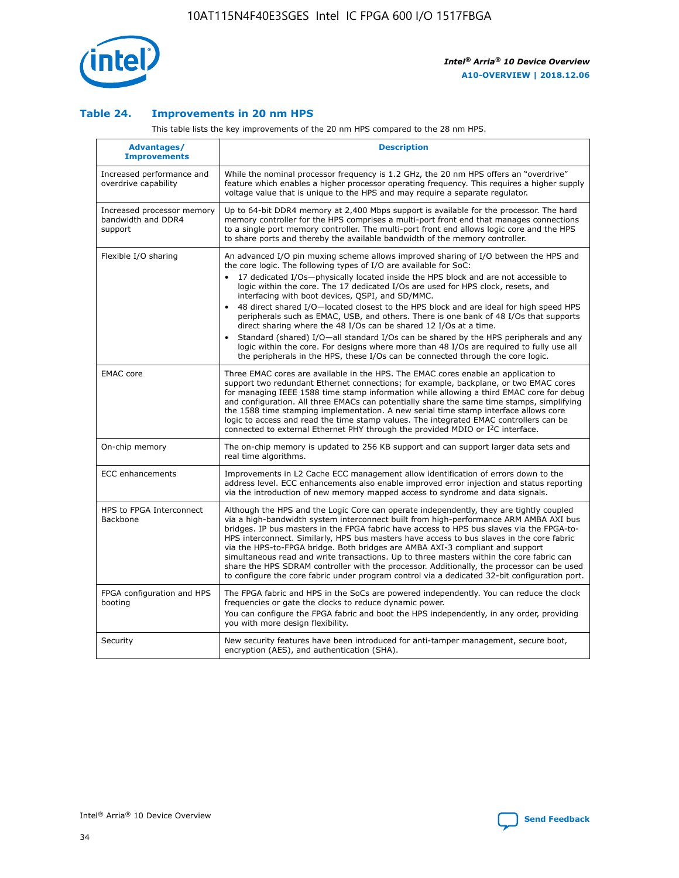

## **Table 24. Improvements in 20 nm HPS**

This table lists the key improvements of the 20 nm HPS compared to the 28 nm HPS.

| Advantages/<br><b>Improvements</b>                          | <b>Description</b>                                                                                                                                                                                                                                                                                                                                                                                                                                                                                                                                                                                                                                                                                                                                                                                                                                                                                                                   |
|-------------------------------------------------------------|--------------------------------------------------------------------------------------------------------------------------------------------------------------------------------------------------------------------------------------------------------------------------------------------------------------------------------------------------------------------------------------------------------------------------------------------------------------------------------------------------------------------------------------------------------------------------------------------------------------------------------------------------------------------------------------------------------------------------------------------------------------------------------------------------------------------------------------------------------------------------------------------------------------------------------------|
| Increased performance and<br>overdrive capability           | While the nominal processor frequency is 1.2 GHz, the 20 nm HPS offers an "overdrive"<br>feature which enables a higher processor operating frequency. This requires a higher supply<br>voltage value that is unique to the HPS and may require a separate regulator.                                                                                                                                                                                                                                                                                                                                                                                                                                                                                                                                                                                                                                                                |
| Increased processor memory<br>bandwidth and DDR4<br>support | Up to 64-bit DDR4 memory at 2,400 Mbps support is available for the processor. The hard<br>memory controller for the HPS comprises a multi-port front end that manages connections<br>to a single port memory controller. The multi-port front end allows logic core and the HPS<br>to share ports and thereby the available bandwidth of the memory controller.                                                                                                                                                                                                                                                                                                                                                                                                                                                                                                                                                                     |
| Flexible I/O sharing                                        | An advanced I/O pin muxing scheme allows improved sharing of I/O between the HPS and<br>the core logic. The following types of I/O are available for SoC:<br>17 dedicated I/Os-physically located inside the HPS block and are not accessible to<br>logic within the core. The 17 dedicated I/Os are used for HPS clock, resets, and<br>interfacing with boot devices, QSPI, and SD/MMC.<br>48 direct shared I/O-located closest to the HPS block and are ideal for high speed HPS<br>$\bullet$<br>peripherals such as EMAC, USB, and others. There is one bank of 48 I/Os that supports<br>direct sharing where the 48 I/Os can be shared 12 I/Os at a time.<br>Standard (shared) I/O-all standard I/Os can be shared by the HPS peripherals and any<br>logic within the core. For designs where more than 48 I/Os are required to fully use all<br>the peripherals in the HPS, these I/Os can be connected through the core logic. |
| <b>EMAC</b> core                                            | Three EMAC cores are available in the HPS. The EMAC cores enable an application to<br>support two redundant Ethernet connections; for example, backplane, or two EMAC cores<br>for managing IEEE 1588 time stamp information while allowing a third EMAC core for debug<br>and configuration. All three EMACs can potentially share the same time stamps, simplifying<br>the 1588 time stamping implementation. A new serial time stamp interface allows core<br>logic to access and read the time stamp values. The integrated EMAC controllers can be<br>connected to external Ethernet PHY through the provided MDIO or I <sup>2</sup> C interface.                                                                                                                                                                                                                                                                               |
| On-chip memory                                              | The on-chip memory is updated to 256 KB support and can support larger data sets and<br>real time algorithms.                                                                                                                                                                                                                                                                                                                                                                                                                                                                                                                                                                                                                                                                                                                                                                                                                        |
| <b>ECC</b> enhancements                                     | Improvements in L2 Cache ECC management allow identification of errors down to the<br>address level. ECC enhancements also enable improved error injection and status reporting<br>via the introduction of new memory mapped access to syndrome and data signals.                                                                                                                                                                                                                                                                                                                                                                                                                                                                                                                                                                                                                                                                    |
| HPS to FPGA Interconnect<br>Backbone                        | Although the HPS and the Logic Core can operate independently, they are tightly coupled<br>via a high-bandwidth system interconnect built from high-performance ARM AMBA AXI bus<br>bridges. IP bus masters in the FPGA fabric have access to HPS bus slaves via the FPGA-to-<br>HPS interconnect. Similarly, HPS bus masters have access to bus slaves in the core fabric<br>via the HPS-to-FPGA bridge. Both bridges are AMBA AXI-3 compliant and support<br>simultaneous read and write transactions. Up to three masters within the core fabric can<br>share the HPS SDRAM controller with the processor. Additionally, the processor can be used<br>to configure the core fabric under program control via a dedicated 32-bit configuration port.                                                                                                                                                                               |
| FPGA configuration and HPS<br>booting                       | The FPGA fabric and HPS in the SoCs are powered independently. You can reduce the clock<br>frequencies or gate the clocks to reduce dynamic power.<br>You can configure the FPGA fabric and boot the HPS independently, in any order, providing<br>you with more design flexibility.                                                                                                                                                                                                                                                                                                                                                                                                                                                                                                                                                                                                                                                 |
| Security                                                    | New security features have been introduced for anti-tamper management, secure boot,<br>encryption (AES), and authentication (SHA).                                                                                                                                                                                                                                                                                                                                                                                                                                                                                                                                                                                                                                                                                                                                                                                                   |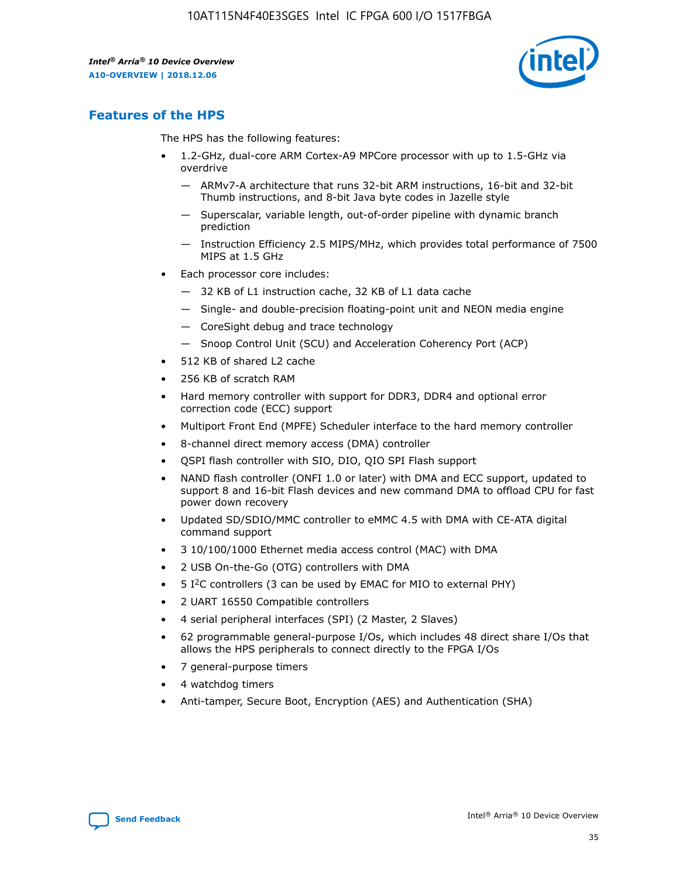

# **Features of the HPS**

The HPS has the following features:

- 1.2-GHz, dual-core ARM Cortex-A9 MPCore processor with up to 1.5-GHz via overdrive
	- ARMv7-A architecture that runs 32-bit ARM instructions, 16-bit and 32-bit Thumb instructions, and 8-bit Java byte codes in Jazelle style
	- Superscalar, variable length, out-of-order pipeline with dynamic branch prediction
	- Instruction Efficiency 2.5 MIPS/MHz, which provides total performance of 7500 MIPS at 1.5 GHz
- Each processor core includes:
	- 32 KB of L1 instruction cache, 32 KB of L1 data cache
	- Single- and double-precision floating-point unit and NEON media engine
	- CoreSight debug and trace technology
	- Snoop Control Unit (SCU) and Acceleration Coherency Port (ACP)
- 512 KB of shared L2 cache
- 256 KB of scratch RAM
- Hard memory controller with support for DDR3, DDR4 and optional error correction code (ECC) support
- Multiport Front End (MPFE) Scheduler interface to the hard memory controller
- 8-channel direct memory access (DMA) controller
- QSPI flash controller with SIO, DIO, QIO SPI Flash support
- NAND flash controller (ONFI 1.0 or later) with DMA and ECC support, updated to support 8 and 16-bit Flash devices and new command DMA to offload CPU for fast power down recovery
- Updated SD/SDIO/MMC controller to eMMC 4.5 with DMA with CE-ATA digital command support
- 3 10/100/1000 Ethernet media access control (MAC) with DMA
- 2 USB On-the-Go (OTG) controllers with DMA
- $\bullet$  5 I<sup>2</sup>C controllers (3 can be used by EMAC for MIO to external PHY)
- 2 UART 16550 Compatible controllers
- 4 serial peripheral interfaces (SPI) (2 Master, 2 Slaves)
- 62 programmable general-purpose I/Os, which includes 48 direct share I/Os that allows the HPS peripherals to connect directly to the FPGA I/Os
- 7 general-purpose timers
- 4 watchdog timers
- Anti-tamper, Secure Boot, Encryption (AES) and Authentication (SHA)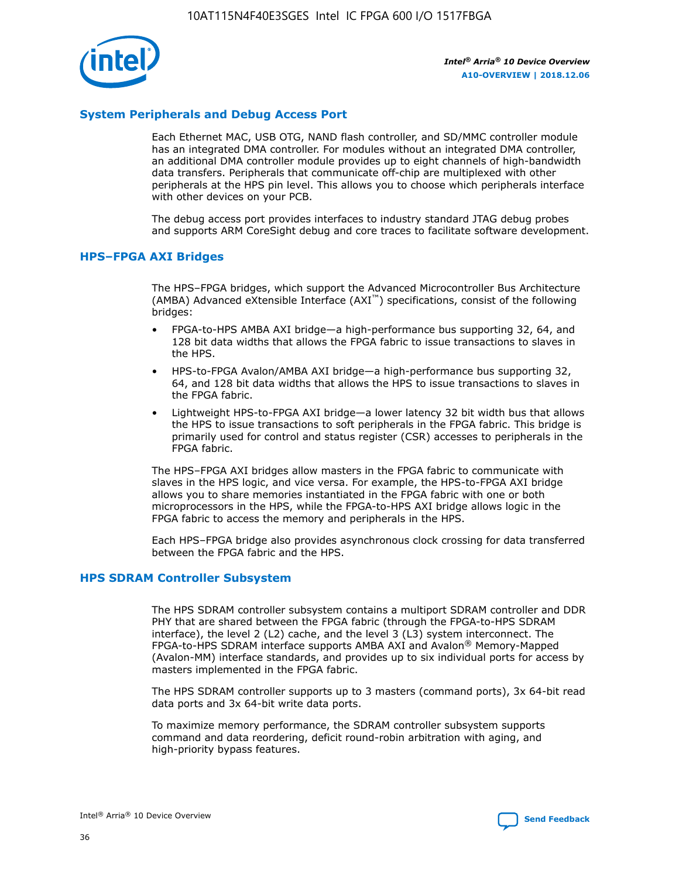

## **System Peripherals and Debug Access Port**

Each Ethernet MAC, USB OTG, NAND flash controller, and SD/MMC controller module has an integrated DMA controller. For modules without an integrated DMA controller, an additional DMA controller module provides up to eight channels of high-bandwidth data transfers. Peripherals that communicate off-chip are multiplexed with other peripherals at the HPS pin level. This allows you to choose which peripherals interface with other devices on your PCB.

The debug access port provides interfaces to industry standard JTAG debug probes and supports ARM CoreSight debug and core traces to facilitate software development.

## **HPS–FPGA AXI Bridges**

The HPS–FPGA bridges, which support the Advanced Microcontroller Bus Architecture (AMBA) Advanced eXtensible Interface (AXI™) specifications, consist of the following bridges:

- FPGA-to-HPS AMBA AXI bridge—a high-performance bus supporting 32, 64, and 128 bit data widths that allows the FPGA fabric to issue transactions to slaves in the HPS.
- HPS-to-FPGA Avalon/AMBA AXI bridge—a high-performance bus supporting 32, 64, and 128 bit data widths that allows the HPS to issue transactions to slaves in the FPGA fabric.
- Lightweight HPS-to-FPGA AXI bridge—a lower latency 32 bit width bus that allows the HPS to issue transactions to soft peripherals in the FPGA fabric. This bridge is primarily used for control and status register (CSR) accesses to peripherals in the FPGA fabric.

The HPS–FPGA AXI bridges allow masters in the FPGA fabric to communicate with slaves in the HPS logic, and vice versa. For example, the HPS-to-FPGA AXI bridge allows you to share memories instantiated in the FPGA fabric with one or both microprocessors in the HPS, while the FPGA-to-HPS AXI bridge allows logic in the FPGA fabric to access the memory and peripherals in the HPS.

Each HPS–FPGA bridge also provides asynchronous clock crossing for data transferred between the FPGA fabric and the HPS.

### **HPS SDRAM Controller Subsystem**

The HPS SDRAM controller subsystem contains a multiport SDRAM controller and DDR PHY that are shared between the FPGA fabric (through the FPGA-to-HPS SDRAM interface), the level 2 (L2) cache, and the level 3 (L3) system interconnect. The FPGA-to-HPS SDRAM interface supports AMBA AXI and Avalon® Memory-Mapped (Avalon-MM) interface standards, and provides up to six individual ports for access by masters implemented in the FPGA fabric.

The HPS SDRAM controller supports up to 3 masters (command ports), 3x 64-bit read data ports and 3x 64-bit write data ports.

To maximize memory performance, the SDRAM controller subsystem supports command and data reordering, deficit round-robin arbitration with aging, and high-priority bypass features.

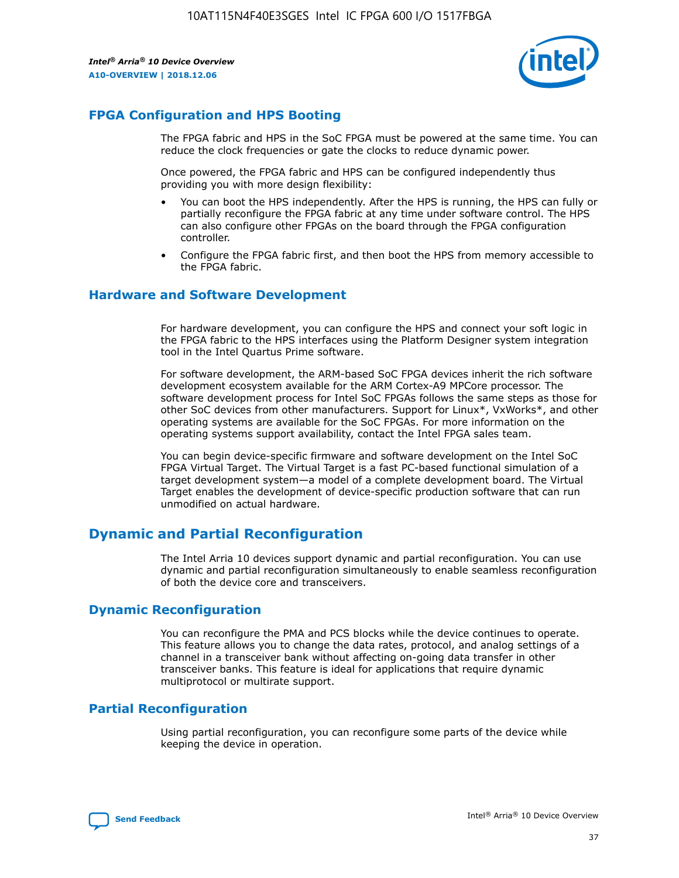

## **FPGA Configuration and HPS Booting**

The FPGA fabric and HPS in the SoC FPGA must be powered at the same time. You can reduce the clock frequencies or gate the clocks to reduce dynamic power.

Once powered, the FPGA fabric and HPS can be configured independently thus providing you with more design flexibility:

- You can boot the HPS independently. After the HPS is running, the HPS can fully or partially reconfigure the FPGA fabric at any time under software control. The HPS can also configure other FPGAs on the board through the FPGA configuration controller.
- Configure the FPGA fabric first, and then boot the HPS from memory accessible to the FPGA fabric.

## **Hardware and Software Development**

For hardware development, you can configure the HPS and connect your soft logic in the FPGA fabric to the HPS interfaces using the Platform Designer system integration tool in the Intel Quartus Prime software.

For software development, the ARM-based SoC FPGA devices inherit the rich software development ecosystem available for the ARM Cortex-A9 MPCore processor. The software development process for Intel SoC FPGAs follows the same steps as those for other SoC devices from other manufacturers. Support for Linux\*, VxWorks\*, and other operating systems are available for the SoC FPGAs. For more information on the operating systems support availability, contact the Intel FPGA sales team.

You can begin device-specific firmware and software development on the Intel SoC FPGA Virtual Target. The Virtual Target is a fast PC-based functional simulation of a target development system—a model of a complete development board. The Virtual Target enables the development of device-specific production software that can run unmodified on actual hardware.

## **Dynamic and Partial Reconfiguration**

The Intel Arria 10 devices support dynamic and partial reconfiguration. You can use dynamic and partial reconfiguration simultaneously to enable seamless reconfiguration of both the device core and transceivers.

## **Dynamic Reconfiguration**

You can reconfigure the PMA and PCS blocks while the device continues to operate. This feature allows you to change the data rates, protocol, and analog settings of a channel in a transceiver bank without affecting on-going data transfer in other transceiver banks. This feature is ideal for applications that require dynamic multiprotocol or multirate support.

## **Partial Reconfiguration**

Using partial reconfiguration, you can reconfigure some parts of the device while keeping the device in operation.

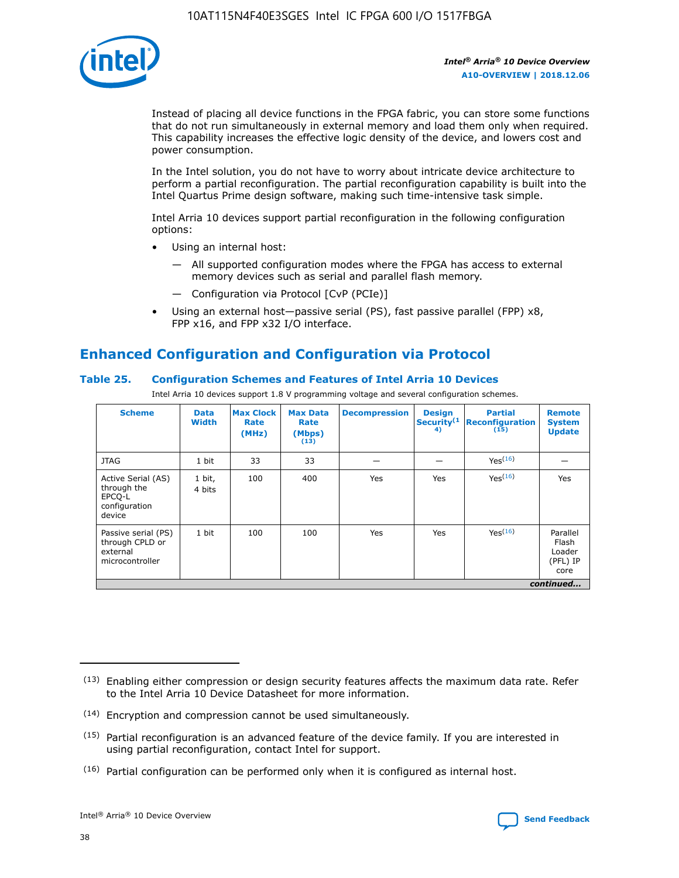

Instead of placing all device functions in the FPGA fabric, you can store some functions that do not run simultaneously in external memory and load them only when required. This capability increases the effective logic density of the device, and lowers cost and power consumption.

In the Intel solution, you do not have to worry about intricate device architecture to perform a partial reconfiguration. The partial reconfiguration capability is built into the Intel Quartus Prime design software, making such time-intensive task simple.

Intel Arria 10 devices support partial reconfiguration in the following configuration options:

- Using an internal host:
	- All supported configuration modes where the FPGA has access to external memory devices such as serial and parallel flash memory.
	- Configuration via Protocol [CvP (PCIe)]
- Using an external host—passive serial (PS), fast passive parallel (FPP) x8, FPP x16, and FPP x32 I/O interface.

# **Enhanced Configuration and Configuration via Protocol**

## **Table 25. Configuration Schemes and Features of Intel Arria 10 Devices**

Intel Arria 10 devices support 1.8 V programming voltage and several configuration schemes.

| <b>Scheme</b>                                                          | <b>Data</b><br><b>Width</b> | <b>Max Clock</b><br>Rate<br>(MHz) | <b>Max Data</b><br>Rate<br>(Mbps)<br>(13) | <b>Decompression</b> | <b>Design</b><br>Security <sup>(1</sup><br>4) | <b>Partial</b><br><b>Reconfiguration</b><br>(15) | <b>Remote</b><br><b>System</b><br><b>Update</b> |
|------------------------------------------------------------------------|-----------------------------|-----------------------------------|-------------------------------------------|----------------------|-----------------------------------------------|--------------------------------------------------|-------------------------------------------------|
| <b>JTAG</b>                                                            | 1 bit                       | 33                                | 33                                        |                      |                                               | Yes(16)                                          |                                                 |
| Active Serial (AS)<br>through the<br>EPCO-L<br>configuration<br>device | 1 bit,<br>4 bits            | 100                               | 400                                       | Yes                  | Yes                                           | $Y_{PS}(16)$                                     | Yes                                             |
| Passive serial (PS)<br>through CPLD or<br>external<br>microcontroller  | 1 bit                       | 100                               | 100                                       | Yes                  | Yes                                           | Yes(16)                                          | Parallel<br>Flash<br>Loader<br>(PFL) IP<br>core |
|                                                                        |                             |                                   |                                           |                      |                                               |                                                  | continued                                       |

<sup>(13)</sup> Enabling either compression or design security features affects the maximum data rate. Refer to the Intel Arria 10 Device Datasheet for more information.

<sup>(14)</sup> Encryption and compression cannot be used simultaneously.

 $(15)$  Partial reconfiguration is an advanced feature of the device family. If you are interested in using partial reconfiguration, contact Intel for support.

 $(16)$  Partial configuration can be performed only when it is configured as internal host.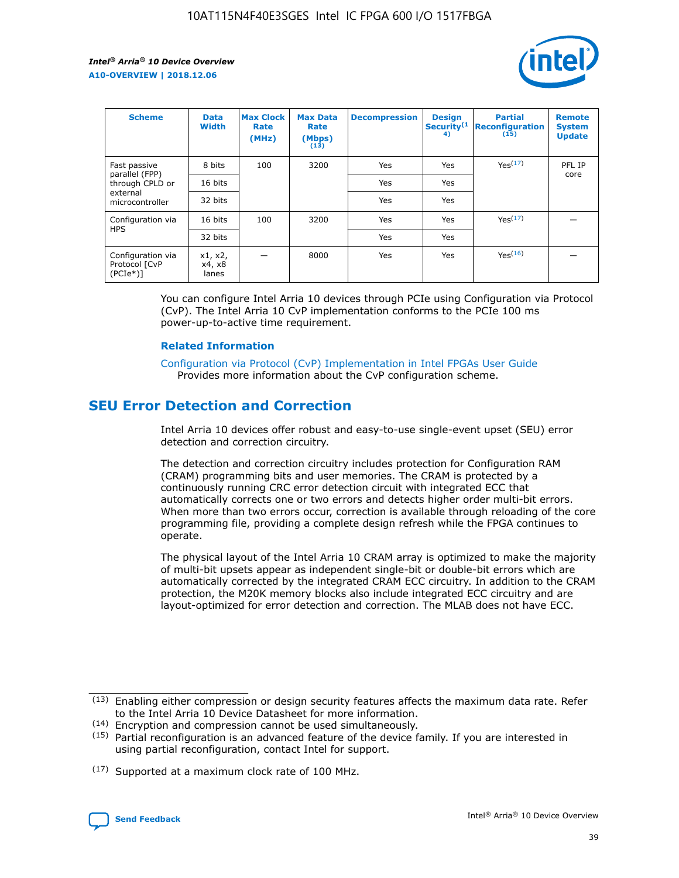

| <b>Scheme</b>                                     | <b>Data</b><br><b>Width</b> | <b>Max Clock</b><br>Rate<br>(MHz) | <b>Max Data</b><br>Rate<br>(Mbps)<br>(13) | <b>Decompression</b> | <b>Design</b><br>Security <sup>(1</sup><br>4) | <b>Partial</b><br><b>Reconfiguration</b><br>(15) | <b>Remote</b><br><b>System</b><br><b>Update</b> |
|---------------------------------------------------|-----------------------------|-----------------------------------|-------------------------------------------|----------------------|-----------------------------------------------|--------------------------------------------------|-------------------------------------------------|
| Fast passive                                      | 8 bits                      | 100                               | 3200                                      | Yes                  | Yes                                           | Yes(17)                                          | PFL IP                                          |
| parallel (FPP)<br>through CPLD or                 | 16 bits                     |                                   |                                           | Yes                  | Yes                                           |                                                  | core                                            |
| external<br>microcontroller                       | 32 bits                     |                                   |                                           | Yes                  | Yes                                           |                                                  |                                                 |
| Configuration via                                 | 16 bits                     | 100                               | 3200                                      | Yes                  | Yes                                           | Yes <sup>(17)</sup>                              |                                                 |
| <b>HPS</b>                                        | 32 bits                     |                                   |                                           | Yes                  | Yes                                           |                                                  |                                                 |
| Configuration via<br>Protocol [CvP<br>$(PCIe*)$ ] | x1, x2,<br>x4, x8<br>lanes  |                                   | 8000                                      | Yes                  | Yes                                           | Yes(16)                                          |                                                 |

You can configure Intel Arria 10 devices through PCIe using Configuration via Protocol (CvP). The Intel Arria 10 CvP implementation conforms to the PCIe 100 ms power-up-to-active time requirement.

#### **Related Information**

[Configuration via Protocol \(CvP\) Implementation in Intel FPGAs User Guide](https://www.intel.com/content/www/us/en/programmable/documentation/dsu1441819344145.html#dsu1442269728522) Provides more information about the CvP configuration scheme.

# **SEU Error Detection and Correction**

Intel Arria 10 devices offer robust and easy-to-use single-event upset (SEU) error detection and correction circuitry.

The detection and correction circuitry includes protection for Configuration RAM (CRAM) programming bits and user memories. The CRAM is protected by a continuously running CRC error detection circuit with integrated ECC that automatically corrects one or two errors and detects higher order multi-bit errors. When more than two errors occur, correction is available through reloading of the core programming file, providing a complete design refresh while the FPGA continues to operate.

The physical layout of the Intel Arria 10 CRAM array is optimized to make the majority of multi-bit upsets appear as independent single-bit or double-bit errors which are automatically corrected by the integrated CRAM ECC circuitry. In addition to the CRAM protection, the M20K memory blocks also include integrated ECC circuitry and are layout-optimized for error detection and correction. The MLAB does not have ECC.

(14) Encryption and compression cannot be used simultaneously.

<sup>(17)</sup> Supported at a maximum clock rate of 100 MHz.



 $(13)$  Enabling either compression or design security features affects the maximum data rate. Refer to the Intel Arria 10 Device Datasheet for more information.

 $(15)$  Partial reconfiguration is an advanced feature of the device family. If you are interested in using partial reconfiguration, contact Intel for support.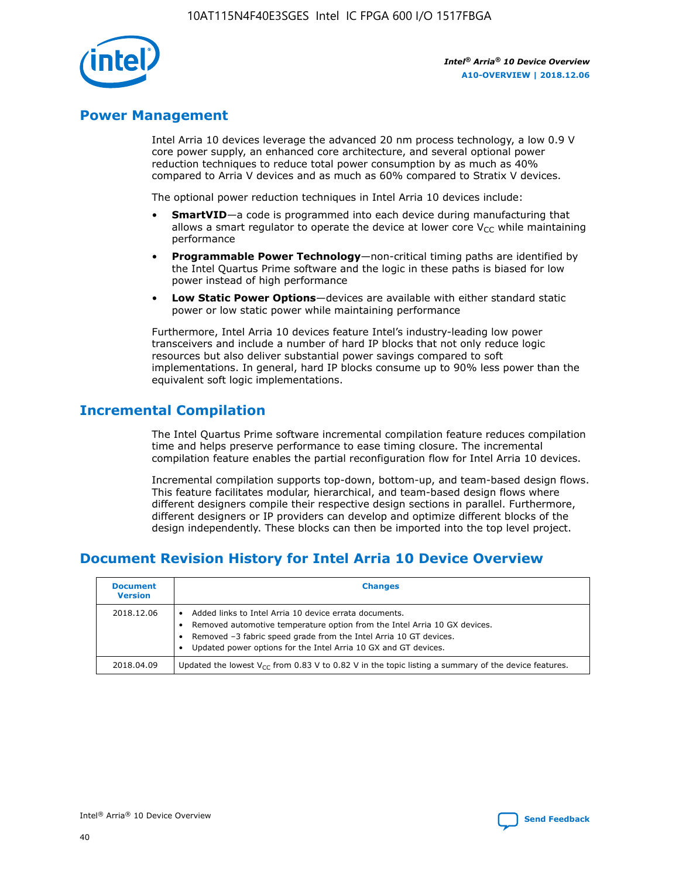

## **Power Management**

Intel Arria 10 devices leverage the advanced 20 nm process technology, a low 0.9 V core power supply, an enhanced core architecture, and several optional power reduction techniques to reduce total power consumption by as much as 40% compared to Arria V devices and as much as 60% compared to Stratix V devices.

The optional power reduction techniques in Intel Arria 10 devices include:

- **SmartVID**—a code is programmed into each device during manufacturing that allows a smart regulator to operate the device at lower core  $V_{CC}$  while maintaining performance
- **Programmable Power Technology**—non-critical timing paths are identified by the Intel Quartus Prime software and the logic in these paths is biased for low power instead of high performance
- **Low Static Power Options**—devices are available with either standard static power or low static power while maintaining performance

Furthermore, Intel Arria 10 devices feature Intel's industry-leading low power transceivers and include a number of hard IP blocks that not only reduce logic resources but also deliver substantial power savings compared to soft implementations. In general, hard IP blocks consume up to 90% less power than the equivalent soft logic implementations.

# **Incremental Compilation**

The Intel Quartus Prime software incremental compilation feature reduces compilation time and helps preserve performance to ease timing closure. The incremental compilation feature enables the partial reconfiguration flow for Intel Arria 10 devices.

Incremental compilation supports top-down, bottom-up, and team-based design flows. This feature facilitates modular, hierarchical, and team-based design flows where different designers compile their respective design sections in parallel. Furthermore, different designers or IP providers can develop and optimize different blocks of the design independently. These blocks can then be imported into the top level project.

# **Document Revision History for Intel Arria 10 Device Overview**

| <b>Document</b><br><b>Version</b> | <b>Changes</b>                                                                                                                                                                                                                                                              |
|-----------------------------------|-----------------------------------------------------------------------------------------------------------------------------------------------------------------------------------------------------------------------------------------------------------------------------|
| 2018.12.06                        | Added links to Intel Arria 10 device errata documents.<br>Removed automotive temperature option from the Intel Arria 10 GX devices.<br>Removed -3 fabric speed grade from the Intel Arria 10 GT devices.<br>Updated power options for the Intel Arria 10 GX and GT devices. |
| 2018.04.09                        | Updated the lowest $V_{CC}$ from 0.83 V to 0.82 V in the topic listing a summary of the device features.                                                                                                                                                                    |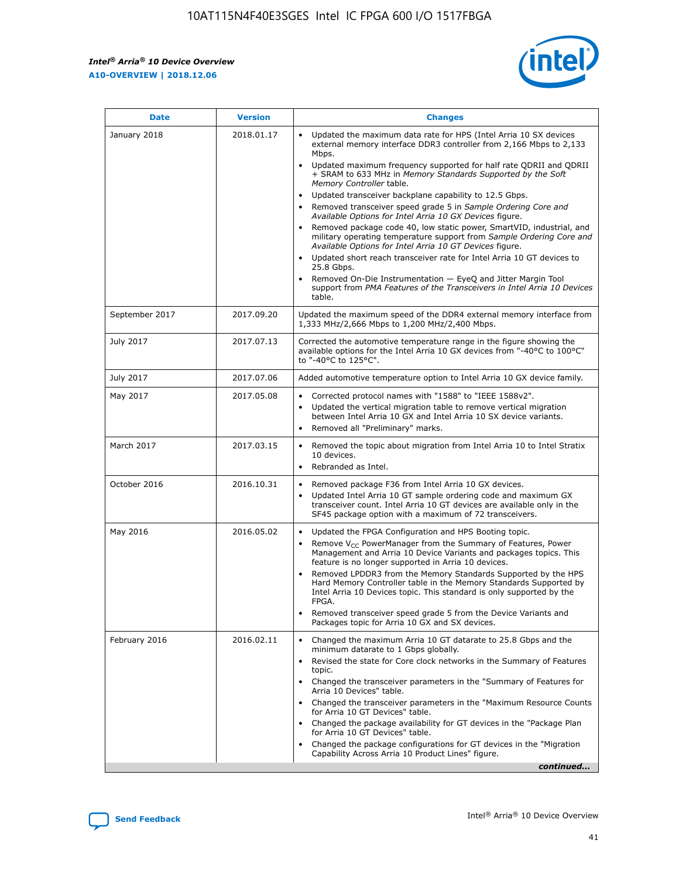*Intel® Arria® 10 Device Overview* **A10-OVERVIEW | 2018.12.06**



| <b>Date</b>    | <b>Version</b> | <b>Changes</b>                                                                                                                                                                                                                                                                                                                                                                                                                                                                                                                                                                                                                                                                                                                                                                                                                                                                                                                                                                         |
|----------------|----------------|----------------------------------------------------------------------------------------------------------------------------------------------------------------------------------------------------------------------------------------------------------------------------------------------------------------------------------------------------------------------------------------------------------------------------------------------------------------------------------------------------------------------------------------------------------------------------------------------------------------------------------------------------------------------------------------------------------------------------------------------------------------------------------------------------------------------------------------------------------------------------------------------------------------------------------------------------------------------------------------|
| January 2018   | 2018.01.17     | Updated the maximum data rate for HPS (Intel Arria 10 SX devices<br>external memory interface DDR3 controller from 2,166 Mbps to 2,133<br>Mbps.<br>Updated maximum frequency supported for half rate QDRII and QDRII<br>+ SRAM to 633 MHz in Memory Standards Supported by the Soft<br>Memory Controller table.<br>Updated transceiver backplane capability to 12.5 Gbps.<br>$\bullet$<br>Removed transceiver speed grade 5 in Sample Ordering Core and<br>$\bullet$<br>Available Options for Intel Arria 10 GX Devices figure.<br>Removed package code 40, low static power, SmartVID, industrial, and<br>military operating temperature support from Sample Ordering Core and<br>Available Options for Intel Arria 10 GT Devices figure.<br>Updated short reach transceiver rate for Intel Arria 10 GT devices to<br>25.8 Gbps.<br>Removed On-Die Instrumentation - EyeQ and Jitter Margin Tool<br>support from PMA Features of the Transceivers in Intel Arria 10 Devices<br>table. |
| September 2017 | 2017.09.20     | Updated the maximum speed of the DDR4 external memory interface from<br>1,333 MHz/2,666 Mbps to 1,200 MHz/2,400 Mbps.                                                                                                                                                                                                                                                                                                                                                                                                                                                                                                                                                                                                                                                                                                                                                                                                                                                                  |
| July 2017      | 2017.07.13     | Corrected the automotive temperature range in the figure showing the<br>available options for the Intel Arria 10 GX devices from "-40°C to 100°C"<br>to "-40°C to 125°C".                                                                                                                                                                                                                                                                                                                                                                                                                                                                                                                                                                                                                                                                                                                                                                                                              |
| July 2017      | 2017.07.06     | Added automotive temperature option to Intel Arria 10 GX device family.                                                                                                                                                                                                                                                                                                                                                                                                                                                                                                                                                                                                                                                                                                                                                                                                                                                                                                                |
| May 2017       | 2017.05.08     | Corrected protocol names with "1588" to "IEEE 1588v2".<br>$\bullet$<br>Updated the vertical migration table to remove vertical migration<br>$\bullet$<br>between Intel Arria 10 GX and Intel Arria 10 SX device variants.<br>Removed all "Preliminary" marks.<br>$\bullet$                                                                                                                                                                                                                                                                                                                                                                                                                                                                                                                                                                                                                                                                                                             |
| March 2017     | 2017.03.15     | Removed the topic about migration from Intel Arria 10 to Intel Stratix<br>$\bullet$<br>10 devices.<br>Rebranded as Intel.<br>$\bullet$                                                                                                                                                                                                                                                                                                                                                                                                                                                                                                                                                                                                                                                                                                                                                                                                                                                 |
| October 2016   | 2016.10.31     | Removed package F36 from Intel Arria 10 GX devices.<br>Updated Intel Arria 10 GT sample ordering code and maximum GX<br>$\bullet$<br>transceiver count. Intel Arria 10 GT devices are available only in the<br>SF45 package option with a maximum of 72 transceivers.                                                                                                                                                                                                                                                                                                                                                                                                                                                                                                                                                                                                                                                                                                                  |
| May 2016       | 2016.05.02     | Updated the FPGA Configuration and HPS Booting topic.<br>$\bullet$<br>Remove V <sub>CC</sub> PowerManager from the Summary of Features, Power<br>Management and Arria 10 Device Variants and packages topics. This<br>feature is no longer supported in Arria 10 devices.<br>Removed LPDDR3 from the Memory Standards Supported by the HPS<br>Hard Memory Controller table in the Memory Standards Supported by<br>Intel Arria 10 Devices topic. This standard is only supported by the<br>FPGA.<br>Removed transceiver speed grade 5 from the Device Variants and<br>Packages topic for Arria 10 GX and SX devices.                                                                                                                                                                                                                                                                                                                                                                   |
| February 2016  | 2016.02.11     | Changed the maximum Arria 10 GT datarate to 25.8 Gbps and the<br>minimum datarate to 1 Gbps globally.<br>Revised the state for Core clock networks in the Summary of Features<br>$\bullet$<br>topic.<br>Changed the transceiver parameters in the "Summary of Features for<br>$\bullet$<br>Arria 10 Devices" table.<br>• Changed the transceiver parameters in the "Maximum Resource Counts<br>for Arria 10 GT Devices" table.<br>Changed the package availability for GT devices in the "Package Plan<br>for Arria 10 GT Devices" table.<br>Changed the package configurations for GT devices in the "Migration"<br>Capability Across Arria 10 Product Lines" figure.<br>continued                                                                                                                                                                                                                                                                                                    |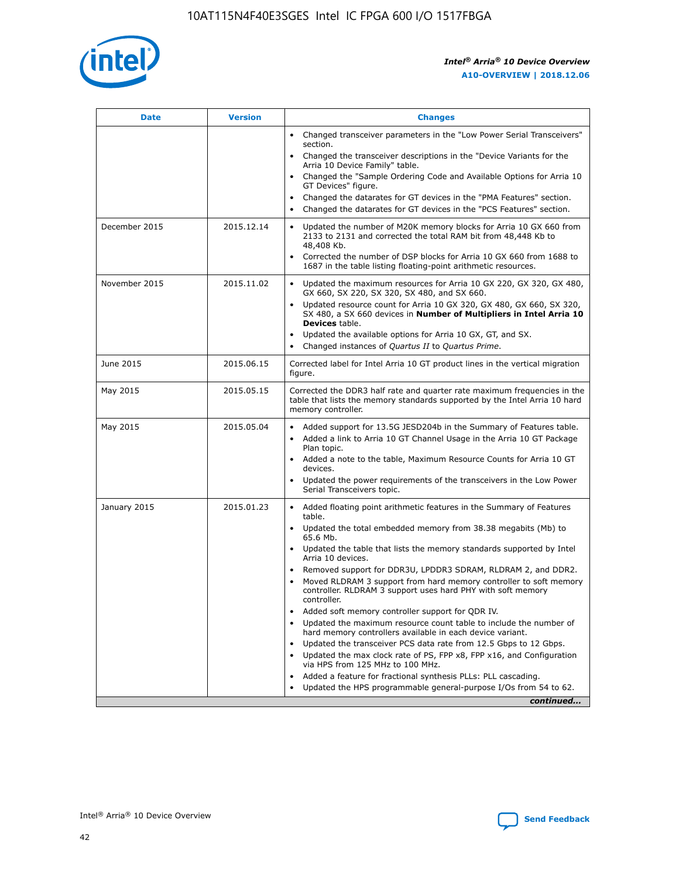

| <b>Date</b>   | <b>Version</b> | <b>Changes</b>                                                                                                                                                               |
|---------------|----------------|------------------------------------------------------------------------------------------------------------------------------------------------------------------------------|
|               |                | • Changed transceiver parameters in the "Low Power Serial Transceivers"<br>section.                                                                                          |
|               |                | • Changed the transceiver descriptions in the "Device Variants for the<br>Arria 10 Device Family" table.                                                                     |
|               |                | Changed the "Sample Ordering Code and Available Options for Arria 10<br>$\bullet$<br>GT Devices" figure.                                                                     |
|               |                | Changed the datarates for GT devices in the "PMA Features" section.                                                                                                          |
|               |                | Changed the datarates for GT devices in the "PCS Features" section.<br>$\bullet$                                                                                             |
| December 2015 | 2015.12.14     | Updated the number of M20K memory blocks for Arria 10 GX 660 from<br>2133 to 2131 and corrected the total RAM bit from 48,448 Kb to<br>48,408 Kb.                            |
|               |                | Corrected the number of DSP blocks for Arria 10 GX 660 from 1688 to<br>1687 in the table listing floating-point arithmetic resources.                                        |
| November 2015 | 2015.11.02     | Updated the maximum resources for Arria 10 GX 220, GX 320, GX 480,<br>$\bullet$<br>GX 660, SX 220, SX 320, SX 480, and SX 660.                                               |
|               |                | Updated resource count for Arria 10 GX 320, GX 480, GX 660, SX 320,<br>SX 480, a SX 660 devices in Number of Multipliers in Intel Arria 10<br><b>Devices</b> table.          |
|               |                | Updated the available options for Arria 10 GX, GT, and SX.                                                                                                                   |
|               |                | Changed instances of Quartus II to Quartus Prime.                                                                                                                            |
| June 2015     | 2015.06.15     | Corrected label for Intel Arria 10 GT product lines in the vertical migration<br>figure.                                                                                     |
| May 2015      | 2015.05.15     | Corrected the DDR3 half rate and quarter rate maximum frequencies in the<br>table that lists the memory standards supported by the Intel Arria 10 hard<br>memory controller. |
| May 2015      | 2015.05.04     | Added support for 13.5G JESD204b in the Summary of Features table.<br>$\bullet$<br>Added a link to Arria 10 GT Channel Usage in the Arria 10 GT Package<br>$\bullet$         |
|               |                | Plan topic.                                                                                                                                                                  |
|               |                | • Added a note to the table, Maximum Resource Counts for Arria 10 GT<br>devices.                                                                                             |
|               |                | Updated the power requirements of the transceivers in the Low Power<br>Serial Transceivers topic.                                                                            |
| January 2015  | 2015.01.23     | • Added floating point arithmetic features in the Summary of Features<br>table.                                                                                              |
|               |                | Updated the total embedded memory from 38.38 megabits (Mb) to<br>$\bullet$<br>65.6 Mb.                                                                                       |
|               |                | • Updated the table that lists the memory standards supported by Intel<br>Arria 10 devices.                                                                                  |
|               |                | Removed support for DDR3U, LPDDR3 SDRAM, RLDRAM 2, and DDR2.                                                                                                                 |
|               |                | Moved RLDRAM 3 support from hard memory controller to soft memory<br>controller. RLDRAM 3 support uses hard PHY with soft memory<br>controller.                              |
|               |                | Added soft memory controller support for QDR IV.<br>$\bullet$                                                                                                                |
|               |                | Updated the maximum resource count table to include the number of<br>hard memory controllers available in each device variant.                                               |
|               |                | Updated the transceiver PCS data rate from 12.5 Gbps to 12 Gbps.<br>$\bullet$                                                                                                |
|               |                | Updated the max clock rate of PS, FPP x8, FPP x16, and Configuration<br>via HPS from 125 MHz to 100 MHz.                                                                     |
|               |                | Added a feature for fractional synthesis PLLs: PLL cascading.                                                                                                                |
|               |                | Updated the HPS programmable general-purpose I/Os from 54 to 62.                                                                                                             |
|               |                | continued                                                                                                                                                                    |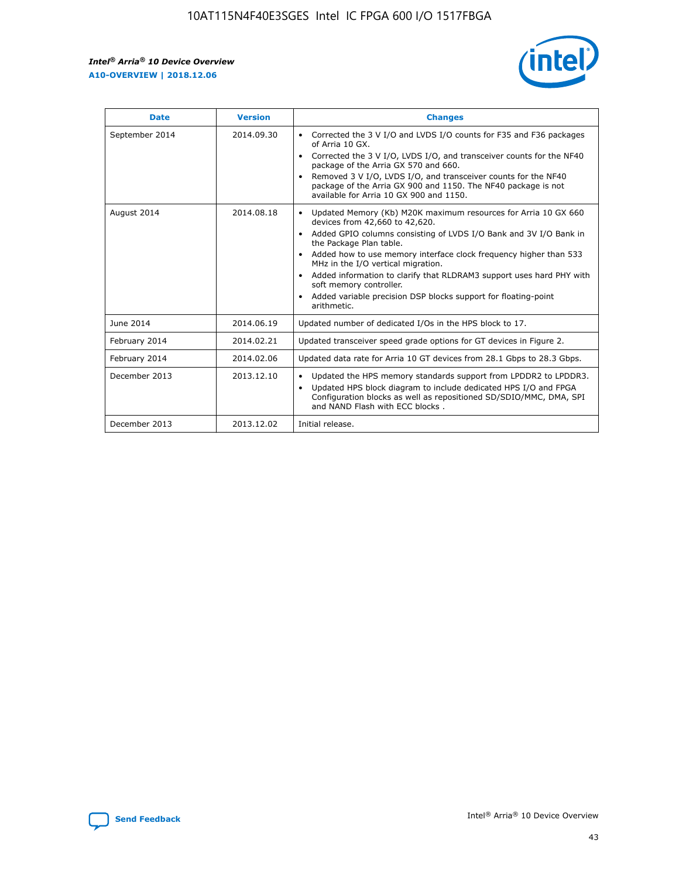r



| <b>Date</b>    | <b>Version</b> | <b>Changes</b>                                                                                                                                                                                                                                                                                                                                                                                                                                                                                                                                      |
|----------------|----------------|-----------------------------------------------------------------------------------------------------------------------------------------------------------------------------------------------------------------------------------------------------------------------------------------------------------------------------------------------------------------------------------------------------------------------------------------------------------------------------------------------------------------------------------------------------|
| September 2014 | 2014.09.30     | Corrected the 3 V I/O and LVDS I/O counts for F35 and F36 packages<br>$\bullet$<br>of Arria 10 GX.<br>Corrected the 3 V I/O, LVDS I/O, and transceiver counts for the NF40<br>$\bullet$<br>package of the Arria GX 570 and 660.<br>Removed 3 V I/O, LVDS I/O, and transceiver counts for the NF40<br>package of the Arria GX 900 and 1150. The NF40 package is not<br>available for Arria 10 GX 900 and 1150.                                                                                                                                       |
| August 2014    | 2014.08.18     | Updated Memory (Kb) M20K maximum resources for Arria 10 GX 660<br>devices from 42,660 to 42,620.<br>Added GPIO columns consisting of LVDS I/O Bank and 3V I/O Bank in<br>$\bullet$<br>the Package Plan table.<br>Added how to use memory interface clock frequency higher than 533<br>$\bullet$<br>MHz in the I/O vertical migration.<br>Added information to clarify that RLDRAM3 support uses hard PHY with<br>$\bullet$<br>soft memory controller.<br>Added variable precision DSP blocks support for floating-point<br>$\bullet$<br>arithmetic. |
| June 2014      | 2014.06.19     | Updated number of dedicated I/Os in the HPS block to 17.                                                                                                                                                                                                                                                                                                                                                                                                                                                                                            |
| February 2014  | 2014.02.21     | Updated transceiver speed grade options for GT devices in Figure 2.                                                                                                                                                                                                                                                                                                                                                                                                                                                                                 |
| February 2014  | 2014.02.06     | Updated data rate for Arria 10 GT devices from 28.1 Gbps to 28.3 Gbps.                                                                                                                                                                                                                                                                                                                                                                                                                                                                              |
| December 2013  | 2013.12.10     | Updated the HPS memory standards support from LPDDR2 to LPDDR3.<br>Updated HPS block diagram to include dedicated HPS I/O and FPGA<br>$\bullet$<br>Configuration blocks as well as repositioned SD/SDIO/MMC, DMA, SPI<br>and NAND Flash with ECC blocks.                                                                                                                                                                                                                                                                                            |
| December 2013  | 2013.12.02     | Initial release.                                                                                                                                                                                                                                                                                                                                                                                                                                                                                                                                    |